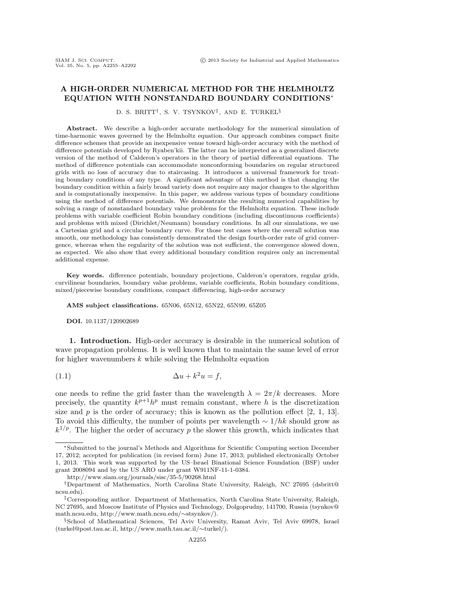# **A HIGH-ORDER NUMERICAL METHOD FOR THE HELMHOLTZ EQUATION WITH NONSTANDARD BOUNDARY CONDITIONS**∗

D. S. BRITT†, S. V. TSYNKOV‡, AND E. TURKEL§

Abstract. We describe a high-order accurate methodology for the numerical simulation of time-harmonic waves governed by the Helmholtz equation. Our approach combines compact finite difference schemes that provide an inexpensive venue toward high-order accuracy with the method of difference potentials developed by Ryaben'kii. The latter can be interpreted as a generalized discrete version of the method of Calderon's operators in the theory of partial differential equations. The method of difference potentials can accommodate nonconforming boundaries on regular structured grids with no loss of accuracy due to staircasing. It introduces a universal framework for treating boundary conditions of any type. A significant advantage of this method is that changing the boundary condition within a fairly broad variety does not require any major changes to the algorithm and is computationally inexpensive. In this paper, we address various types of boundary conditions using the method of difference potentials. We demonstrate the resulting numerical capabilities by solving a range of nonstandard boundary value problems for the Helmholtz equation. These include problems with variable coefficient Robin boundary conditions (including discontinuous coefficients) and problems with mixed (Dirichlet/Neumann) boundary conditions. In all our simulations, we use a Cartesian grid and a circular boundary curve. For those test cases where the overall solution was smooth, our methodology has consistently demonstrated the design fourth-order rate of grid convergence, whereas when the regularity of the solution was not sufficient, the convergence slowed down, as expected. We also show that every additional boundary condition requires only an incremental additional expense.

**Key words.** difference potentials, boundary projections, Calderon's operators, regular grids, curvilinear boundaries, boundary value problems, variable coefficients, Robin boundary conditions, mixed/piecewise boundary conditions, compact differencing, high-order accuracy

**AMS subject classifications.** 65N06, 65N12, 65N22, 65N99, 65Z05

**DOI.** 10.1137/120902689

**1. Introduction.** High-order accuracy is desirable in the numerical solution of wave propagation problems. It is well known that to maintain the same level of error for higher wavenumbers  $k$  while solving the Helmholtz equation

$$
(1.1)\qquad \Delta u + k^2 u = f,
$$

one needs to refine the grid faster than the wavelength  $\lambda = 2\pi/k$  decreases. More precisely, the quantity  $k^{p+1}h^p$  must remain constant, where h is the discretization size and p is the order of accuracy; this is known as the pollution effect  $[2, 1, 13]$ . To avoid this difficulty, the number of points per wavelength  $\sim 1/hk$  should grow as  $k^{1/p}$ . The higher the order of accuracy p the slower this growth, which indicates that

<sup>∗</sup>Submitted to the journal's Methods and Algorithms for Scientific Computing section December 17, 2012; accepted for publication (in revised form) June 17, 2013; published electronically October 1, 2013. This work was supported by the US–Israel Binational Science Foundation (BSF) under grant 2008094 and by the US ARO under grant W911NF-11-1-0384.

http://www.siam.org/journals/sisc/35-5/90268.html

<sup>†</sup>Department of Mathematics, North Carolina State University, Raleigh, NC 27695 (dsbritt@ ncsu.edu).

<sup>‡</sup>Corresponding author. Department of Mathematics, North Carolina State University, Raleigh, NC 27695, and Moscow Institute of Physics and Technology, Dolgoprudny, 141700, Russia (tsynkov@ math.ncsu.edu, http://www.math.ncsu.edu/∼stsynkov/).

<sup>§</sup>School of Mathematical Sciences, Tel Aviv University, Ramat Aviv, Tel Aviv 69978, Israel (turkel@post.tau.ac.il, http://www.math.tau.ac.il/∼turkel/).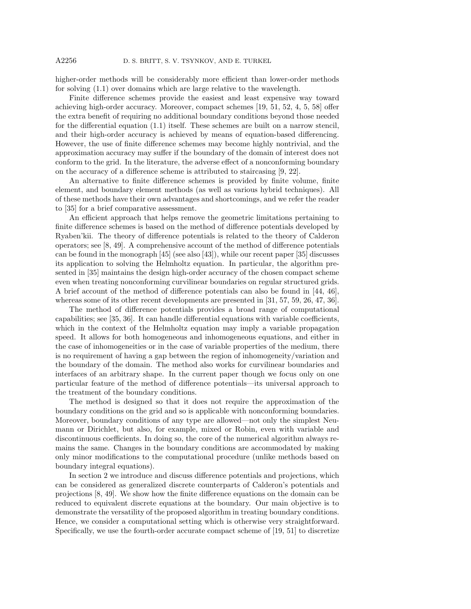higher-order methods will be considerably more efficient than lower-order methods for solving (1.1) over domains which are large relative to the wavelength.

Finite difference schemes provide the easiest and least expensive way toward achieving high-order accuracy. Moreover, compact schemes [19, 51, 52, 4, 5, 58] offer the extra benefit of requiring no additional boundary conditions beyond those needed for the differential equation (1.1) itself. These schemes are built on a narrow stencil, and their high-order accuracy is achieved by means of equation-based differencing. However, the use of finite difference schemes may become highly nontrivial, and the approximation accuracy may suffer if the boundary of the domain of interest does not conform to the grid. In the literature, the adverse effect of a nonconforming boundary on the accuracy of a difference scheme is attributed to staircasing [9, 22].

An alternative to finite difference schemes is provided by finite volume, finite element, and boundary element methods (as well as various hybrid techniques). All of these methods have their own advantages and shortcomings, and we refer the reader to [35] for a brief comparative assessment.

An efficient approach that helps remove the geometric limitations pertaining to finite difference schemes is based on the method of difference potentials developed by Ryaben'kii. The theory of difference potentials is related to the theory of Calderon operators; see [8, 49]. A comprehensive account of the method of difference potentials can be found in the monograph [45] (see also [43]), while our recent paper [35] discusses its application to solving the Helmholtz equation. In particular, the algorithm presented in [35] maintains the design high-order accuracy of the chosen compact scheme even when treating nonconforming curvilinear boundaries on regular structured grids. A brief account of the method of difference potentials can also be found in [44, 46], whereas some of its other recent developments are presented in [31, 57, 59, 26, 47, 36].

The method of difference potentials provides a broad range of computational capabilities; see [35, 36]. It can handle differential equations with variable coefficients, which in the context of the Helmholtz equation may imply a variable propagation speed. It allows for both homogeneous and inhomogeneous equations, and either in the case of inhomogeneities or in the case of variable properties of the medium, there is no requirement of having a gap between the region of inhomogeneity/variation and the boundary of the domain. The method also works for curvilinear boundaries and interfaces of an arbitrary shape. In the current paper though we focus only on one particular feature of the method of difference potentials—its universal approach to the treatment of the boundary conditions.

The method is designed so that it does not require the approximation of the boundary conditions on the grid and so is applicable with nonconforming boundaries. Moreover, boundary conditions of any type are allowed—not only the simplest Neumann or Dirichlet, but also, for example, mixed or Robin, even with variable and discontinuous coefficients. In doing so, the core of the numerical algorithm always remains the same. Changes in the boundary conditions are accommodated by making only minor modifications to the computational procedure (unlike methods based on boundary integral equations).

In section 2 we introduce and discuss difference potentials and projections, which can be considered as generalized discrete counterparts of Calderon's potentials and projections [8, 49]. We show how the finite difference equations on the domain can be reduced to equivalent discrete equations at the boundary. Our main objective is to demonstrate the versatility of the proposed algorithm in treating boundary conditions. Hence, we consider a computational setting which is otherwise very straightforward. Specifically, we use the fourth-order accurate compact scheme of [19, 51] to discretize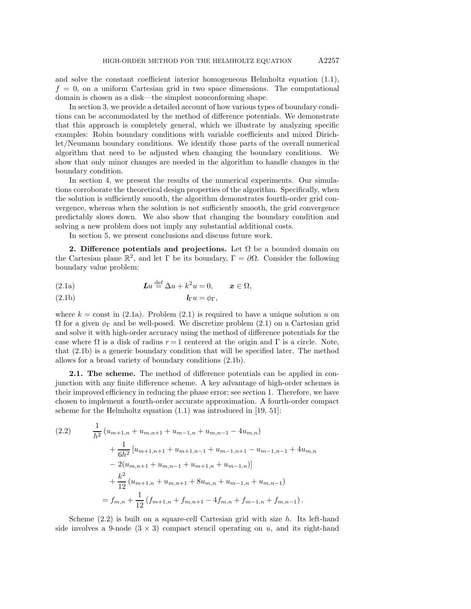and solve the constant coefficient interior homogeneous Helmholtz equation (1.1),  $f = 0$ , on a uniform Cartesian grid in two space dimensions. The computational domain is chosen as a disk—the simplest nonconforming shape.

In section 3, we provide a detailed account of how various types of boundary conditions can be accommodated by the method of difference potentials. We demonstrate that this approach is completely general, which we illustrate by analyzing specific examples: Robin boundary conditions with variable coefficients and mixed Dirichlet/Neumann boundary conditions. We identify those parts of the overall numerical algorithm that need to be adjusted when changing the boundary conditions. We show that only minor changes are needed in the algorithm to handle changes in the boundary condition.

In section 4, we present the results of the numerical experiments. Our simulations corroborate the theoretical design properties of the algorithm. Specifically, when the solution is sufficiently smooth, the algorithm demonstrates fourth-order grid convergence, whereas when the solution is not sufficiently smooth, the grid convergence predictably slows down. We also show that changing the boundary condition and solving a new problem does not imply any substantial additional costs.

In section 5, we present conclusions and discuss future work.

**2. Difference potentials and projections.** Let  $\Omega$  be a bounded domain on the Cartesian plane  $\mathbb{R}^2$ , and let  $\Gamma$  be its boundary,  $\Gamma = \partial \Omega$ . Consider the following boundary value problem:

(2.1a) 
$$
Lu \stackrel{\text{def}}{=} \Delta u + k^2 u = 0, \qquad x \in \Omega,
$$

$$
l_{\Gamma}u = \phi_{\Gamma},
$$

where  $k = \text{const}$  in (2.1a). Problem (2.1) is required to have a unique solution u on  $\Omega$  for a given  $\phi_{\Gamma}$  and be well-posed. We discretize problem (2.1) on a Cartesian grid and solve it with high-order accuracy using the method of difference potentials for the case where  $\Omega$  is a disk of radius  $r = 1$  centered at the origin and  $\Gamma$  is a circle. Note, that (2.1b) is a generic boundary condition that will be specified later. The method allows for a broad variety of boundary conditions (2.1b).

**2.1. The scheme.** The method of difference potentials can be applied in conjunction with any finite difference scheme. A key advantage of high-order schemes is their improved efficiency in reducing the phase error; see section 1. Therefore, we have chosen to implement a fourth-order accurate approximation. A fourth-order compact scheme for the Helmholtz equation (1.1) was introduced in [19, 51]:

$$
\frac{1}{h^2} (u_{m+1,n} + u_{m,n+1} + u_{m-1,n} + u_{m,n-1} - 4u_{m,n})
$$
\n
$$
+ \frac{1}{6h^2} [u_{m+1,n+1} + u_{m+1,n-1} + u_{m-1,n+1} - u_{m-1,n-1} + 4u_{m,n}
$$
\n
$$
- 2(u_{m,n+1} + u_{m,n-1} + u_{m+1,n} + u_{m-1,n})]
$$
\n
$$
+ \frac{k^2}{12} (u_{m+1,n} + u_{m,n+1} + 8u_{m,n} + u_{m-1,n} + u_{m,n-1})
$$
\n
$$
= f_{m,n} + \frac{1}{12} (f_{m+1,n} + f_{m,n+1} - 4f_{m,n} + f_{m-1,n} + f_{m,n-1}).
$$

Scheme  $(2.2)$  is built on a square-cell Cartesian grid with size h. Its left-hand side involves a 9-node  $(3 \times 3)$  compact stencil operating on u, and its right-hand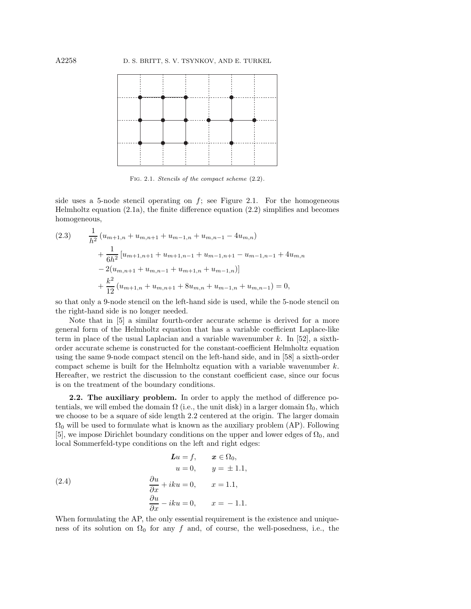

Fig. 2.1. Stencils of the compact scheme (2.2).

side uses a 5-node stencil operating on  $f$ ; see Figure 2.1. For the homogeneous Helmholtz equation (2.1a), the finite difference equation (2.2) simplifies and becomes homogeneous,

$$
(2.3) \qquad \frac{1}{h^2} \left( u_{m+1,n} + u_{m,n+1} + u_{m-1,n} + u_{m,n-1} - 4u_{m,n} \right)
$$

$$
+ \frac{1}{6h^2} \left[ u_{m+1,n+1} + u_{m+1,n-1} + u_{m-1,n+1} - u_{m-1,n-1} + 4u_{m,n} \right]
$$

$$
- 2(u_{m,n+1} + u_{m,n-1} + u_{m+1,n} + u_{m-1,n}) \Big]
$$

$$
+ \frac{k^2}{12} \left( u_{m+1,n} + u_{m,n+1} + 8u_{m,n} + u_{m-1,n} + u_{m,n-1} \right) = 0,
$$

so that only a 9-node stencil on the left-hand side is used, while the 5-node stencil on the right-hand side is no longer needed.

Note that in [5] a similar fourth-order accurate scheme is derived for a more general form of the Helmholtz equation that has a variable coefficient Laplace-like term in place of the usual Laplacian and a variable wavenumber  $k$ . In [52], a sixthorder accurate scheme is constructed for the constant-coefficient Helmholtz equation using the same 9-node compact stencil on the left-hand side, and in [58] a sixth-order compact scheme is built for the Helmholtz equation with a variable wavenumber  $k$ . Hereafter, we restrict the discussion to the constant coefficient case, since our focus is on the treatment of the boundary conditions.

**2.2. The auxiliary problem.** In order to apply the method of difference potentials, we will embed the domain  $\Omega$  (i.e., the unit disk) in a larger domain  $\Omega_0$ , which we choose to be a square of side length 2.2 centered at the origin. The larger domain  $\Omega_0$  will be used to formulate what is known as the auxiliary problem (AP). Following [5], we impose Dirichlet boundary conditions on the upper and lower edges of  $\Omega_0$ , and local Sommerfeld-type conditions on the left and right edges:

(2.4)  
\n
$$
Lu = f, \quad x \in \Omega_0,
$$
\n
$$
u = 0, \quad y = \pm 1.1,
$$
\n
$$
\frac{\partial u}{\partial x} + iku = 0, \quad x = 1.1,
$$
\n
$$
\frac{\partial u}{\partial x} - iku = 0, \quad x = -1.1.
$$

When formulating the AP, the only essential requirement is the existence and uniqueness of its solution on  $\Omega_0$  for any f and, of course, the well-posedness, i.e., the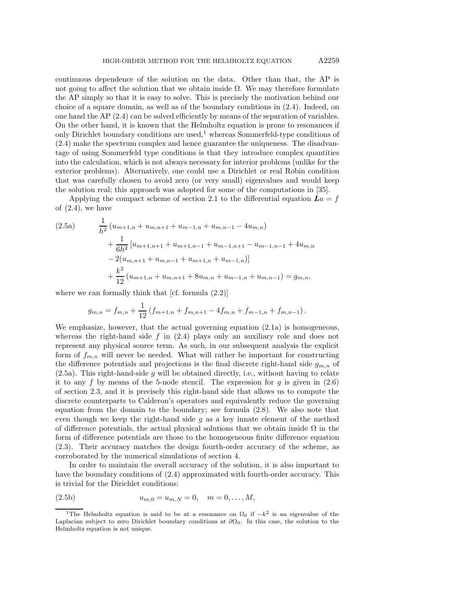continuous dependence of the solution on the data. Other than that, the AP is not going to affect the solution that we obtain inside  $\Omega$ . We may therefore formulate the AP simply so that it is easy to solve. This is precisely the motivation behind our choice of a square domain, as well as of the boundary conditions in (2.4). Indeed, on one hand the AP (2.4) can be solved efficiently by means of the separation of variables. On the other hand, it is known that the Helmholtz equation is prone to resonances if only Dirichlet boundary conditions are used,<sup>1</sup> whereas Sommerfeld-type conditions of (2.4) make the spectrum complex and hence guarantee the uniqueness. The disadvantage of using Sommerfeld type conditions is that they introduce complex quantities into the calculation, which is not always necessary for interior problems (unlike for the exterior problems). Alternatively, one could use a Dirichlet or real Robin condition that was carefully chosen to avoid zero (or very small) eigenvalues and would keep the solution real; this approach was adopted for some of the computations in [35].

Applying the compact scheme of section 2.1 to the differential equation  $Lu = f$ of  $(2.4)$ , we have

(2.5a) 
$$
\frac{1}{h^2} (u_{m+1,n} + u_{m,n+1} + u_{m-1,n} + u_{m,n-1} - 4u_{m,n})
$$

$$
+ \frac{1}{6h^2} [u_{m+1,n+1} + u_{m+1,n-1} + u_{m-1,n+1} - u_{m-1,n-1} + 4u_{m,n}
$$

$$
- 2(u_{m,n+1} + u_{m,n-1} + u_{m+1,n} + u_{m-1,n})]
$$

$$
+ \frac{k^2}{12} (u_{m+1,n} + u_{m,n+1} + 8u_{m,n} + u_{m-1,n} + u_{m,n-1}) = g_{m,n},
$$

where we can formally think that [cf. formula (2.2)]

$$
g_{m,n} = f_{m,n} + \frac{1}{12} \left( f_{m+1,n} + f_{m,n+1} - 4f_{m,n} + f_{m-1,n} + f_{m,n-1} \right).
$$

We emphasize, however, that the actual governing equation (2.1a) is homogeneous, whereas the right-hand side f in  $(2.4)$  plays only an auxiliary role and does not represent any physical source term. As such, in our subsequent analysis the explicit form of  $f_{m,n}$  will never be needed. What will rather be important for constructing the difference potentials and projections is the final discrete right-hand side  $g_{m,n}$  of  $(2.5a)$ . This right-hand-side g will be obtained directly, i.e., without having to relate it to any f by means of the 5-node stencil. The expression for  $q$  is given in  $(2.6)$ of section 2.3, and it is precisely this right-hand side that allows us to compute the discrete counterparts to Calderon's operators and equivalently reduce the governing equation from the domain to the boundary; see formula (2.8). We also note that even though we keep the right-hand side  $g$  as a key innate element of the method of difference potentials, the actual physical solutions that we obtain inside  $\Omega$  in the form of difference potentials are those to the homogeneous finite difference equation (2.3). Their accuracy matches the design fourth-order accuracy of the scheme, as corroborated by the numerical simulations of section 4.

In order to maintain the overall accuracy of the solution, it is also important to have the boundary conditions of (2.4) approximated with fourth-order accuracy. This is trivial for the Dirichlet conditions:

(2.5b) 
$$
u_{m,0} = u_{m,N} = 0, \quad m = 0, \ldots, M,
$$

<sup>&</sup>lt;sup>1</sup>The Helmholtz equation is said to be at a resonance on  $\Omega_0$  if  $-k^2$  is an eigenvalue of the Laplacian subject to zero Dirichlet boundary conditions at  $\partial\Omega_0$ . In this case, the solution to the Helmholtz equation is not unique.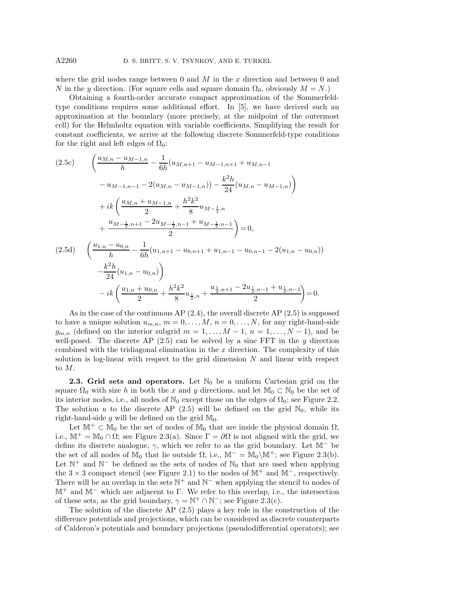A2260 D. S. BRITT, S. V. TSYNKOV, AND E. TURKEL

where the grid nodes range between 0 and  $M$  in the  $x$  direction and between 0 and N in the y direction. (For square cells and square domain  $\Omega_0$ , obviously  $M = N$ .)

Obtaining a fourth-order accurate compact approximation of the Sommerfeldtype conditions requires some additional effort. In [5], we have derived such an approximation at the boundary (more precisely, at the midpoint of the outermost cell) for the Helmholtz equation with variable coefficients. Simplifying the result for constant coefficients, we arrive at the following discrete Sommerfeld-type conditions for the right and left edges of  $\Omega_0$ :

$$
(2.5c) \qquad \left(\frac{u_{M,n} - u_{M-1,n}}{h} - \frac{1}{6h}(u_{M,n+1} - u_{M-1,n+1} + u_{M,n-1})\n- u_{M-1,n-1} - 2(u_{M,n} - u_{M-1,n})\n- \frac{k^2h}{24}(u_{M,n} - u_{M-1,n})\n\right) + ik \left(\frac{u_{M,n} + u_{M-1,n}}{2} + \frac{h^2k^2}{8}u_{M-\frac{1}{2},n}\n+ \frac{u_{M-\frac{1}{2},n+1} - 2u_{M-\frac{1}{2},n-1} + u_{M-\frac{1}{2},n-1}}{2}\right) = 0,
$$
\n
$$
(2.5d) \qquad \left(\frac{u_{1,n} - u_{0,n}}{h} - \frac{1}{6h}(u_{1,n+1} - u_{0,n+1} + u_{1,n-1} - u_{0,n-1} - 2(u_{1,n} - u_{0,n}))\n- \frac{k^2h}{24}(u_{1,n} - u_{0,n})\right) - ik \left(\frac{u_{1,n} + u_{0,n}}{2} + \frac{h^2k^2}{8}u_{\frac{1}{2},n} + \frac{u_{\frac{1}{2},n+1} - 2u_{\frac{1}{2},n-1} + u_{\frac{1}{2},n-1}}{2}\right) = 0.
$$

As in the case of the continuous AP  $(2.4)$ , the overall discrete AP  $(2.5)$  is supposed to have a unique solution  $u_{m,n}$ ,  $m = 0, \ldots, M$ ,  $n = 0, \ldots, N$ , for any right-hand-side  $g_{m,n}$  (defined on the interior subgrid  $m = 1, \ldots, M-1, n = 1, \ldots, N-1$ ), and be well-posed. The discrete AP  $(2.5)$  can be solved by a sine FFT in the y direction combined with the tridiagonal elimination in the  $x$  direction. The complexity of this solution is log-linear with respect to the grid dimension  $N$  and linear with respect to M.

**2.3. Grid sets and operators.** Let  $\mathbb{N}_0$  be a uniform Cartesian grid on the square  $\Omega_0$  with size h in both the x and y directions, and let  $\mathbb{M}_0 \subset \mathbb{N}_0$  be the set of its interior nodes, i.e., all nodes of  $\mathbb{N}_0$  except those on the edges of  $\Omega_0$ ; see Figure 2.2. The solution u to the discrete AP (2.5) will be defined on the grid  $\mathbb{N}_0$ , while its right-hand-side g will be defined on the grid  $\mathbb{M}_0$ .

Let  $\mathbb{M}^+ \subset \mathbb{M}_0$  be the set of nodes of  $\mathbb{M}_0$  that are inside the physical domain  $\Omega$ , i.e.,  $\mathbb{M}^+ = \mathbb{M}_0 \cap \Omega$ ; see Figure 2.3(a). Since  $\Gamma = \partial \Omega$  is not aligned with the grid, we define its discrete analogue,  $\gamma$ , which we refer to as the grid boundary. Let M<sup>-</sup> be the set of all nodes of  $M_0$  that lie outside  $\Omega$ , i.e.,  $M^- = M_0 \backslash M^+$ ; see Figure 2.3(b). Let  $\mathbb{N}^+$  and  $\mathbb{N}^-$  be defined as the sets of nodes of  $\mathbb{N}_0$  that are used when applying the  $3 \times 3$  compact stencil (see Figure 2.1) to the nodes of  $\mathbb{M}^+$  and  $\mathbb{M}^-$ , respectively. There will be an overlap in the sets  $\mathbb{N}^+$  and  $\mathbb{N}^-$  when applying the stencil to nodes of  $M^+$  and  $M^-$  which are adjacent to Γ. We refer to this overlap, i.e., the intersection of these sets, as the grid boundary,  $\gamma = \mathbb{N}^+ \cap \mathbb{N}^-$ ; see Figure 2.3(c).

The solution of the discrete AP (2.5) plays a key role in the construction of the difference potentials and projections, which can be considered as discrete counterparts of Calderon's potentials and boundary projections (pseudodifferential operators); see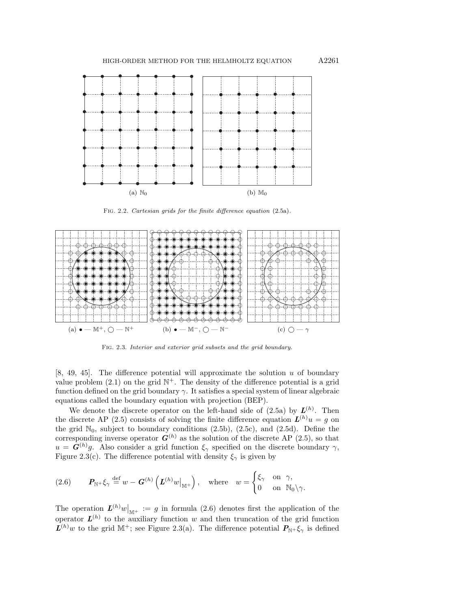

Fig. 2.2. Cartesian grids for the finite difference equation (2.5a).



Fig. 2.3. Interior and exterior grid subsets and the grid boundary.

[8, 49, 45]. The difference potential will approximate the solution  $u$  of boundary value problem  $(2.1)$  on the grid  $\mathbb{N}^+$ . The density of the difference potential is a grid function defined on the grid boundary  $\gamma$ . It satisfies a special system of linear algebraic equations called the boundary equation with projection (BEP).

We denote the discrete operator on the left-hand side of  $(2.5a)$  by  $\mathbf{L}^{(h)}$ . Then the discrete AP (2.5) consists of solving the finite difference equation  $\mathbf{L}^{(h)}u = g$  on the grid  $\mathbb{N}_0$ , subject to boundary conditions (2.5b), (2.5c), and (2.5d). Define the corresponding inverse operator  $G^{(h)}$  as the solution of the discrete AP (2.5), so that  $u = \mathbf{G}^{(h)}g$ . Also consider a grid function  $\xi_{\gamma}$  specified on the discrete boundary  $\gamma$ , Figure 2.3(c). The difference potential with density  $\xi_{\gamma}$  is given by

(2.6) 
$$
P_{\mathbb{N}^+}\xi_{\gamma} \stackrel{\text{def}}{=} w - G^{(h)}\left(L^{(h)}w|_{\mathbb{N}^+}\right), \text{ where } w = \begin{cases} \xi_{\gamma} & \text{on } \gamma, \\ 0 & \text{on } \mathbb{N}_0 \backslash \gamma. \end{cases}
$$

The operation  $L^{(h)}w|_{\mathbb{M}^+} := g$  in formula (2.6) denotes first the application of the operator  $L^{(h)}$  to the auxiliary function w and then truncation of the grid function  $\tilde{L}^{(h)}w$  to the grid  $\mathbb{M}^+$ ; see Figure 2.3(a). The difference potential  $P_{\mathbb{N}^+}\xi_{\gamma}$  is defined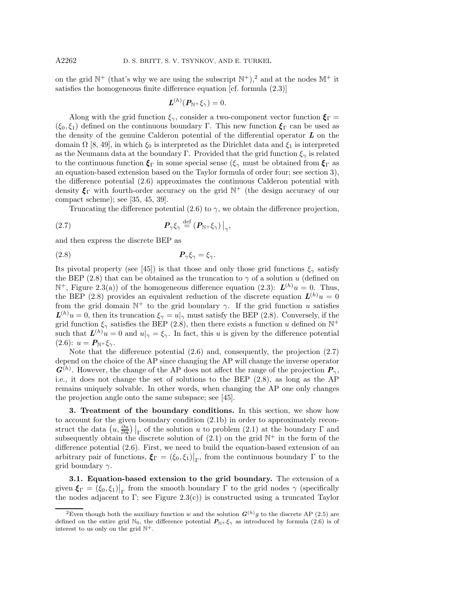on the grid  $\mathbb{N}^+$  (that's why we are using the subscript  $\mathbb{N}^+$ ),<sup>2</sup> and at the nodes  $\mathbb{M}^+$  it satisfies the homogeneous finite difference equation [cf. formula (2.3)]

$$
\mathbf{L}^{(h)}(\mathbf{P}_{\mathbb{N}^+}\xi_{\gamma})=0.
$$

Along with the grid function  $\xi_{\gamma}$ , consider a two-component vector function  $\xi_{\Gamma}$  = ( $\xi_0, \xi_1$ ) defined on the continuous boundary Γ. This new function  $\xi_{\Gamma}$  can be used as the density of the genuine Calderon potential of the differential operator *L* on the domain  $\Omega$  [8, 49], in which  $\xi_0$  is interpreted as the Dirichlet data and  $\xi_1$  is interpreted as the Neumann data at the boundary Γ. Provided that the grid function  $\xi_{\gamma}$  is related to the continuous function  $\xi_{\Gamma}$  in some special sense  $(\xi_{\gamma})$  must be obtained from  $\xi_{\Gamma}$  as an equation-based extension based on the Taylor formula of order four; see section 3), the difference potential (2.6) approximates the continuous Calderon potential with density  $\xi_{\Gamma}$  with fourth-order accuracy on the grid  $\mathbb{N}^+$  (the design accuracy of our compact scheme); see [35, 45, 39].

Truncating the difference potential  $(2.6)$  to  $\gamma$ , we obtain the difference projection,

(2.7) 
$$
\boldsymbol{P}_{\gamma}\xi_{\gamma} \stackrel{\text{def}}{=} (\boldsymbol{P}_{\mathbb{N}^+}\xi_{\gamma})\big|_{\gamma},
$$

and then express the discrete BEP as

$$
P_{\gamma}\xi_{\gamma} = \xi_{\gamma}.
$$

Its pivotal property (see [45]) is that those and only those grid functions  $\xi_{\gamma}$  satisfy the BEP (2.8) that can be obtained as the truncation to  $\gamma$  of a solution u (defined on  $\mathbb{N}^+$ , Figure 2.3(a)) of the homogeneous difference equation (2.3):  $\mathbf{L}^{(h)}u = 0$ . Thus, the BEP (2.8) provides an equivalent reduction of the discrete equation  $L^{(h)}u = 0$ from the grid domain  $\mathbb{N}^+$  to the grid boundary  $\gamma$ . If the grid function u satisfies  $L^{(h)}u = 0$ , then its truncation  $\xi_{\gamma} = u|_{\gamma}$  must satisfy the BEP (2.8). Conversely, if the grid function  $\xi_{\gamma}$  satisfies the BEP (2.8), then there exists a function u defined on N<sup>+</sup> such that  $\mathbf{L}^{(h)}u = 0$  and  $u|_{\gamma} = \xi_{\gamma}$ . In fact, this u is given by the difference potential (2.6):  $u = P_{\mathbb{N}^+} \xi_{\gamma}$ .

Note that the difference potential (2.6) and, consequently, the projection (2.7) depend on the choice of the AP since changing the AP will change the inverse operator  $G^{(h)}$ . However, the change of the AP does not affect the range of the projection  $P_{\gamma}$ , i.e., it does not change the set of solutions to the BEP (2.8), as long as the AP remains uniquely solvable. In other words, when changing the AP one only changes the projection angle onto the same subspace; see [45].

**3. Treatment of the boundary conditions.** In this section, we show how to account for the given boundary condition (2.1b) in order to approximately reconstruct the data  $(u, \frac{\partial u}{\partial n})\big|_{\Gamma}$  of the solution u to problem (2.1) at the boundary  $\Gamma$  and subsequently obtain the discrete solution of  $(2.1)$  on the grid  $\mathbb{N}^+$  in the form of the difference potential (2.6). First, we need to build the equation-based extension of an arbitrary pair of functions,  $\boldsymbol{\xi}_{\Gamma} = (\xi_0, \xi_1)|_{\Gamma}$ , from the continuous boundary  $\Gamma$  to the grid boundary  $\gamma$ .

**3.1. Equation-based extension to the grid boundary.** The extension of a given  $\boldsymbol{\xi}_{\Gamma} = (\xi_0, \xi_1)|_{\Gamma}$  from the smooth boundary  $\Gamma$  to the grid nodes  $\gamma$  (specifically the nodes adjacent to Γ; see Figure 2.3(c)) is constructed using a truncated Taylor

<sup>&</sup>lt;sup>2</sup>Even though both the auxiliary function w and the solution  $G^{(h)}q$  to the discrete AP (2.5) are defined on the entire grid  $\mathbb{N}_0$ , the difference potential  $P_{\mathbb{N}}+\xi_\gamma$  as introduced by formula (2.6) is of interest to us only on the grid  $\mathbb{N}^+$ .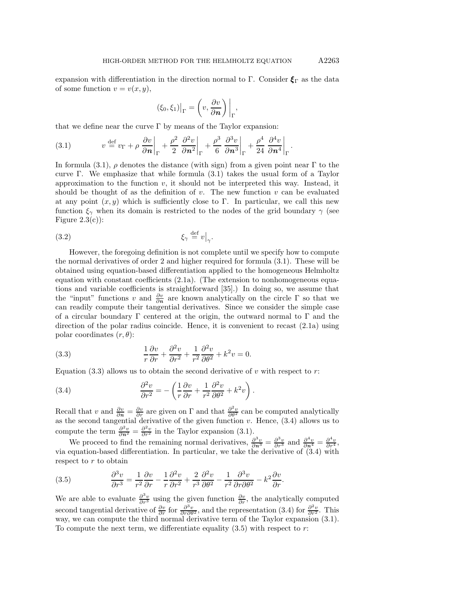expansion with differentiation in the direction normal to Γ. Consider  $\xi_{\Gamma}$  as the data of some function  $v = v(x, y)$ ,

$$
(\xi_0, \xi_1)|_{\Gamma} = \left(v, \frac{\partial v}{\partial n}\right)\bigg|_{\Gamma},
$$

that we define near the curve  $\Gamma$  by means of the Taylor expansion:

(3.1) 
$$
v \stackrel{\text{def}}{=} v_{\Gamma} + \rho \left. \frac{\partial v}{\partial n} \right|_{\Gamma} + \frac{\rho^2}{2} \left. \frac{\partial^2 v}{\partial n^2} \right|_{\Gamma} + \frac{\rho^3}{6} \left. \frac{\partial^3 v}{\partial n^3} \right|_{\Gamma} + \frac{\rho^4}{24} \left. \frac{\partial^4 v}{\partial n^4} \right|_{\Gamma}.
$$

In formula (3.1),  $\rho$  denotes the distance (with sign) from a given point near  $\Gamma$  to the curve Γ. We emphasize that while formula (3.1) takes the usual form of a Taylor approximation to the function  $v$ , it should not be interpreted this way. Instead, it should be thought of as the definition of v. The new function v can be evaluated at any point  $(x, y)$  which is sufficiently close to Γ. In particular, we call this new function  $\xi_{\gamma}$  when its domain is restricted to the nodes of the grid boundary  $\gamma$  (see Figure  $2.3(c)$ :

$$
\xi_{\gamma} \stackrel{\text{def}}{=} v|_{\gamma}.
$$

However, the foregoing definition is not complete until we specify how to compute the normal derivatives of order 2 and higher required for formula (3.1). These will be obtained using equation-based differentiation applied to the homogeneous Helmholtz equation with constant coefficients (2.1a). (The extension to nonhomogeneous equations and variable coefficients is straightforward [35].) In doing so, we assume that the "input" functions v and  $\frac{\partial v}{\partial n}$  are known analytically on the circle Γ so that we can readily compute their tangential derivatives. Since we consider the simple case of a circular boundary Γ centered at the origin, the outward normal to Γ and the direction of the polar radius coincide. Hence, it is convenient to recast (2.1a) using polar coordinates  $(r, \theta)$ :

(3.3) 
$$
\frac{1}{r}\frac{\partial v}{\partial r} + \frac{\partial^2 v}{\partial r^2} + \frac{1}{r^2}\frac{\partial^2 v}{\partial \theta^2} + k^2 v = 0.
$$

Equation  $(3.3)$  allows us to obtain the second derivative of v with respect to r:

(3.4) 
$$
\frac{\partial^2 v}{\partial r^2} = -\left(\frac{1}{r}\frac{\partial v}{\partial r} + \frac{1}{r^2}\frac{\partial^2 v}{\partial \theta^2} + k^2 v\right).
$$

Recall that v and  $\frac{\partial v}{\partial n} = \frac{\partial v}{\partial r}$  are given on  $\Gamma$  and that  $\frac{\partial^2 v}{\partial \theta^2}$  can be computed analytically as the second tangential derivative of the given function  $v$ . Hence,  $(3.4)$  allows us to compute the term  $\frac{\partial^2 v}{\partial n^2} = \frac{\partial^2 v}{\partial r^2}$  in the Taylor expansion (3.1).

We proceed to find the remaining normal derivatives,  $\frac{\partial^3 v}{\partial n^3} = \frac{\partial^3 v}{\partial r^3}$  and  $\frac{\partial^4 v}{\partial n^4} = \frac{\partial^4 v}{\partial r^4}$ , via equation-based differentiation. In particular, we take the derivative of (3.4) with respect to r to obtain

(3.5) 
$$
\frac{\partial^3 v}{\partial r^3} = \frac{1}{r^2} \frac{\partial v}{\partial r} - \frac{1}{r} \frac{\partial^2 v}{\partial r^2} + \frac{2}{r^3} \frac{\partial^2 v}{\partial \theta^2} - \frac{1}{r^2} \frac{\partial^3 v}{\partial r \partial \theta^2} - k^2 \frac{\partial v}{\partial r}.
$$

We are able to evaluate  $\frac{\partial^3 v}{\partial r^3}$  using the given function  $\frac{\partial v}{\partial r}$ , the analytically computed second tangential derivative of  $\frac{\partial v}{\partial r}$  for  $\frac{\partial^3 v}{\partial r \partial \theta^2}$ , and the representation (3.4) for  $\frac{\partial^2 v}{\partial r^2}$ . This way, we can compute the third normal derivative term of the Taylor expansion (3.1). To compute the next term, we differentiate equality  $(3.5)$  with respect to r: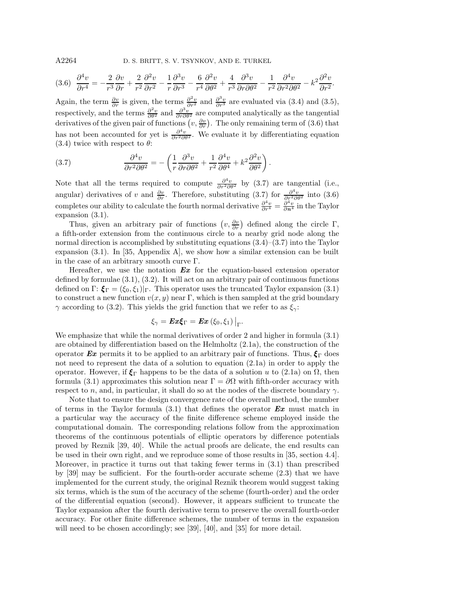A2264 D. S. BRITT, S. V. TSYNKOV, AND E. TURKEL

$$
(3.6)\ \ \frac{\partial^4 v}{\partial r^4} = -\frac{2}{r^3} \frac{\partial v}{\partial r} + \frac{2}{r^2} \frac{\partial^2 v}{\partial r^2} - \frac{1}{r} \frac{\partial^3 v}{\partial r^3} - \frac{6}{r^4} \frac{\partial^2 v}{\partial \theta^2} + \frac{4}{r^3} \frac{\partial^3 v}{\partial r \partial \theta^2} - \frac{1}{r^2} \frac{\partial^4 v}{\partial r^2 \partial \theta^2} - k^2 \frac{\partial^2 v}{\partial r^2}.
$$

Again, the term  $\frac{\partial v}{\partial r}$  is given, the terms  $\frac{\partial^2 v}{\partial r^2}$  and  $\frac{\partial^3 v}{\partial r^3}$  are evaluated via (3.4) and (3.5), respectively, and the terms  $\frac{\partial^2 v}{\partial \theta^2}$  and  $\frac{\partial^3 v}{\partial r \partial \theta^2}$  are computed analytically as the tangential derivatives of the given pair of functions  $(v, \frac{\partial v}{\partial r})$ . The only remaining term of (3.6) that has not been accounted for yet is  $\frac{\partial^4 v}{\partial r^2 \partial \theta^2}$ . We evaluate it by differentiating equation  $(3.4)$  twice with respect to  $\theta$ :

(3.7) 
$$
\frac{\partial^4 v}{\partial r^2 \partial \theta^2} = -\left(\frac{1}{r}\frac{\partial^3 v}{\partial r \partial \theta^2} + \frac{1}{r^2}\frac{\partial^4 v}{\partial \theta^4} + k^2 \frac{\partial^2 v}{\partial \theta^2}\right)
$$

Note that all the terms required to compute  $\frac{\partial^4 v}{\partial r^2 \partial \theta^2}$  by (3.7) are tangential (i.e., angular) derivatives of v and  $\frac{\partial v}{\partial r}$ . Therefore, substituting (3.7) for  $\frac{\partial^4 v}{\partial r^2 \partial \theta^2}$  into (3.6) completes our ability to calculate the fourth normal derivative  $\frac{\partial^4 v}{\partial r^4} = \frac{\partial^4 v}{\partial n^4}$  in the Taylor expansion (3.1).

.

Thus, given an arbitrary pair of functions  $(v, \frac{\partial v}{\partial r})$  defined along the circle  $\Gamma$ , a fifth-order extension from the continuous circle to a nearby grid node along the normal direction is accomplished by substituting equations  $(3.4)$ – $(3.7)$  into the Taylor expansion (3.1). In [35, Appendix A], we show how a similar extension can be built in the case of an arbitrary smooth curve Γ.

Hereafter, we use the notation *Ex* for the equation-based extension operator defined by formulae  $(3.1)$ ,  $(3.2)$ . It will act on an arbitrary pair of continuous functions defined on Γ:  $\xi_{\Gamma} = (\xi_0, \xi_1)|_{\Gamma}$ . This operator uses the truncated Taylor expansion (3.1) to construct a new function  $v(x, y)$  near Γ, which is then sampled at the grid boundary  $γ$  according to (3.2). This yields the grid function that we refer to as  $ξ_γ$ :

$$
\xi_{\gamma} = \text{Ex}\xi_{\Gamma} = \text{Ex}\left(\xi_0, \xi_1\right)\big|_{\Gamma}.
$$

We emphasize that while the normal derivatives of order 2 and higher in formula (3.1) are obtained by differentiation based on the Helmholtz (2.1a), the construction of the operator **Ex** permits it to be applied to an arbitrary pair of functions. Thus,  $\xi_{\Gamma}$  does not need to represent the data of a solution to equation (2.1a) in order to apply the operator. However, if  $\xi_{\Gamma}$  happens to be the data of a solution u to (2.1a) on  $\Omega$ , then formula (3.1) approximates this solution near  $\Gamma = \partial\Omega$  with fifth-order accuracy with respect to n, and, in particular, it shall do so at the nodes of the discrete boundary  $\gamma$ .

Note that to ensure the design convergence rate of the overall method, the number of terms in the Taylor formula (3.1) that defines the operator *Ex* must match in a particular way the accuracy of the finite difference scheme employed inside the computational domain. The corresponding relations follow from the approximation theorems of the continuous potentials of elliptic operators by difference potentials proved by Reznik [39, 40]. While the actual proofs are delicate, the end results can be used in their own right, and we reproduce some of those results in [35, section 4.4]. Moreover, in practice it turns out that taking fewer terms in (3.1) than prescribed by [39] may be sufficient. For the fourth-order accurate scheme (2.3) that we have implemented for the current study, the original Reznik theorem would suggest taking six terms, which is the sum of the accuracy of the scheme (fourth-order) and the order of the differential equation (second). However, it appears sufficient to truncate the Taylor expansion after the fourth derivative term to preserve the overall fourth-order accuracy. For other finite difference schemes, the number of terms in the expansion will need to be chosen accordingly; see [39], [40], and [35] for more detail.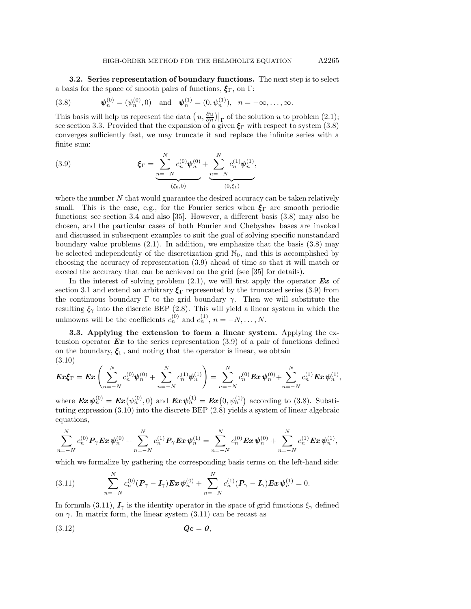**3.2. Series representation of boundary functions.** The next step is to select a basis for the space of smooth pairs of functions,  $\xi_{\Gamma}$ , on  $\Gamma$ :

(3.8) 
$$
\boldsymbol{\psi}_n^{(0)} = (\psi_n^{(0)}, 0) \text{ and } \boldsymbol{\psi}_n^{(1)} = (0, \psi_n^{(1)}), \quad n = -\infty, \dots, \infty.
$$

This basis will help us represent the data  $(u, \frac{\partial u}{\partial n})\Big|_{\Gamma}$  of the solution u to problem (2.1); see section 3.3. Provided that the expansion of a given  $\xi_{\Gamma}$  with respect to system (3.8) converges sufficiently fast, we may truncate it and replace the infinite series with a finite sum:

(3.9) 
$$
\boldsymbol{\xi}_{\Gamma} = \underbrace{\sum_{n=-N}^{N} c_n^{(0)} \boldsymbol{\psi}_n^{(0)}}_{(\xi_0,0)} + \underbrace{\sum_{n=-N}^{N} c_n^{(1)} \boldsymbol{\psi}_n^{(1)}}_{(0,\xi_1)},
$$

where the number N that would guarantee the desired accuracy can be taken relatively small. This is the case, e.g., for the Fourier series when  $\xi_{\Gamma}$  are smooth periodic functions; see section 3.4 and also [35]. However, a different basis (3.8) may also be chosen, and the particular cases of both Fourier and Chebyshev bases are invoked and discussed in subsequent examples to suit the goal of solving specific nonstandard boundary value problems (2.1). In addition, we emphasize that the basis (3.8) may be selected independently of the discretization grid  $\mathbb{N}_0$ , and this is accomplished by choosing the accuracy of representation (3.9) ahead of time so that it will match or exceed the accuracy that can be achieved on the grid (see [35] for details).

In the interest of solving problem (2.1), we will first apply the operator *Ex* of section 3.1 and extend an arbitrary  $\xi_{\Gamma}$  represented by the truncated series (3.9) from the continuous boundary Γ to the grid boundary  $\gamma$ . Then we will substitute the resulting  $\xi_{\gamma}$  into the discrete BEP (2.8). This will yield a linear system in which the unknowns will be the coefficients  $c_n^{(0)}$  and  $c_n^{(1)}$ ,  $n = -N, \ldots, N$ .

**3.3. Applying the extension to form a linear system.** Applying the extension operator  $\bm{E}\bm{x}$  to the series representation  $(3.9)$  of a pair of functions defined on the boundary,  $\xi_{\Gamma}$ , and noting that the operator is linear, we obtain (3.10)

$$
\mathbf{Ex}\xi_{\Gamma} = \mathbf{Ex}\left(\sum_{n=-N}^{N}c_n^{(0)}\boldsymbol{\psi}_n^{(0)} + \sum_{n=-N}^{N}c_n^{(1)}\boldsymbol{\psi}_n^{(1)}\right) = \sum_{n=-N}^{N}c_n^{(0)}\mathbf{Ex}\,\boldsymbol{\psi}_n^{(0)} + \sum_{n=-N}^{N}c_n^{(1)}\mathbf{Ex}\,\boldsymbol{\psi}_n^{(1)},
$$

where  $\bm{Ex} \psi_n^{(0)} = \bm{Ex}(\psi_n^{(0)}, 0)$  and  $\bm{Ex} \psi_n^{(1)} = \bm{Ex}(0, \psi_n^{(1)})$  according to (3.8). Substituting expression (3.10) into the discrete BEP (2.8) yields a system of linear algebraic equations,

$$
\sum_{n=-N}^{N} c_n^{(0)} \mathbf{P}_{\gamma} \mathbf{E} \mathbf{x} \, \psi_n^{(0)} + \sum_{n=-N}^{N} c_n^{(1)} \mathbf{P}_{\gamma} \mathbf{E} \mathbf{x} \, \psi_n^{(1)} = \sum_{n=-N}^{N} c_n^{(0)} \mathbf{E} \mathbf{x} \, \psi_n^{(0)} + \sum_{n=-N}^{N} c_n^{(1)} \mathbf{E} \mathbf{x} \, \psi_n^{(1)},
$$

which we formalize by gathering the corresponding basis terms on the left-hand side:

(3.11) 
$$
\sum_{n=-N}^{N} c_n^{(0)} (\mathbf{P}_{\gamma} - \mathbf{I}_{\gamma}) \mathbf{E} \mathbf{x} \boldsymbol{\psi}_n^{(0)} + \sum_{n=-N}^{N} c_n^{(1)} (\mathbf{P}_{\gamma} - \mathbf{I}_{\gamma}) \mathbf{E} \mathbf{x} \boldsymbol{\psi}_n^{(1)} = 0.
$$

In formula (3.11),  $I_{\gamma}$  is the identity operator in the space of grid functions  $\xi_{\gamma}$  defined on  $\gamma$ . In matrix form, the linear system  $(3.11)$  can be recast as

$$
(3.12) \t\t Qc = 0,
$$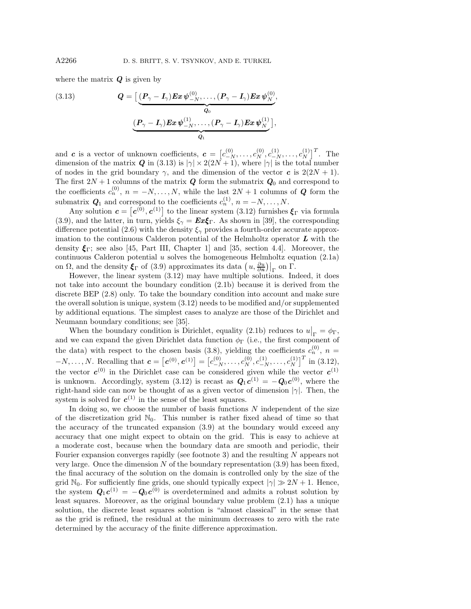where the matrix *Q* is given by

(3.13) 
$$
\mathbf{Q} = \left[ \underbrace{(\mathbf{P}_{\gamma} - \mathbf{I}_{\gamma}) \mathbf{E} \mathbf{x} \psi_{-N}^{(0)}, \dots, (\mathbf{P}_{\gamma} - \mathbf{I}_{\gamma}) \mathbf{E} \mathbf{x} \psi_{N}^{(0)}}_{\mathbf{Q}_{0}}, \underbrace{(\mathbf{P}_{\gamma} - \mathbf{I}_{\gamma}) \mathbf{E} \mathbf{x} \psi_{-N}^{(1)}, \dots, (\mathbf{P}_{\gamma} - \mathbf{I}_{\gamma}) \mathbf{E} \mathbf{x} \psi_{N}^{(1)}}_{\mathbf{Q}_{1}} \right],
$$

and *c* is a vector of unknown coefficients,  $c = [c_{-N}^{(0)}, \ldots, c_N^{(0)}, c_{-N}^{(1)}, \ldots, c_N^{(1)}]^T$ . The dimension of the matrix  $Q$  in (3.13) is  $|\gamma| \times 2(2N+1)$ , where  $|\gamma|$  is the total number of nodes in the grid boundary  $\gamma$ , and the dimension of the vector *c* is  $2(2N + 1)$ . The first  $2N + 1$  columns of the matrix  $Q$  form the submatrix  $Q_0$  and correspond to the coefficients  $c_n^{(0)}$ ,  $n = -N, \ldots, N$ , while the last  $2N + 1$  columns of *Q* form the submatrix  $Q_1$  and correspond to the coefficients  $c_n^{(1)}$ ,  $n = -N, \ldots, N$ .

Any solution  $\boldsymbol{c} = [\boldsymbol{c}^{(0)}, \boldsymbol{c}^{(1)}]$  to the linear system (3.12) furnishes  $\boldsymbol{\xi}_{\Gamma}$  via formula (3.9), and the latter, in turn, yields  $\xi_{\gamma} = \mathbf{Ex} \xi_{\Gamma}$ . As shown in [39], the corresponding difference potential (2.6) with the density  $\xi_{\gamma}$  provides a fourth-order accurate approximation to the continuous Calderon potential of the Helmholtz operator *L* with the density  $\xi_{\Gamma}$ ; see also [45, Part III, Chapter 1] and [35, section 4.4]. Moreover, the continuous Calderon potential  $u$  solves the homogeneous Helmholtz equation  $(2.1a)$ on  $\Omega$ , and the density  $\xi_{\Gamma}$  of (3.9) approximates its data  $(u, \frac{\partial u}{\partial n})\Big|_{\Gamma}$  on  $\Gamma$ .

However, the linear system (3.12) may have multiple solutions. Indeed, it does not take into account the boundary condition (2.1b) because it is derived from the discrete BEP (2.8) only. To take the boundary condition into account and make sure the overall solution is unique, system (3.12) needs to be modified and/or supplemented by additional equations. The simplest cases to analyze are those of the Dirichlet and Neumann boundary conditions; see [35].

When the boundary condition is Dirichlet, equality (2.1b) reduces to  $u|_{\Gamma} = \phi_{\Gamma}$ , and we can expand the given Dirichlet data function  $\phi_{\Gamma}$  (i.e., the first component of the data) with respect to the chosen basis (3.8), yielding the coefficients  $c_n^{(0)}$ ,  $n =$  $-C_1, \ldots, N$ . Recalling that  $c = [c^{(0)}, c^{(1)}] = [c_{-N}^{(0)}, \ldots, c_N^{(0)}, c_{-N}^{(1)}, \ldots, c_N^{(1)}]^T$  in (3.12), the vector  $c^{(0)}$  in the Dirichlet case can be considered given while the vector  $c^{(1)}$ is unknown. Accordingly, system (3.12) is recast as  $Q_1 c^{(1)} = -Q_0 c^{(0)}$ , where the right-hand side can now be thought of as a given vector of dimension  $|\gamma|$ . Then, the system is solved for  $c^{(1)}$  in the sense of the least squares.

In doing so, we choose the number of basis functions  $N$  independent of the size of the discretization grid  $\mathbb{N}_0$ . This number is rather fixed ahead of time so that the accuracy of the truncated expansion (3.9) at the boundary would exceed any accuracy that one might expect to obtain on the grid. This is easy to achieve at a moderate cost, because when the boundary data are smooth and periodic, their Fourier expansion converges rapidly (see footnote 3) and the resulting N appears not very large. Once the dimension  $N$  of the boundary representation  $(3.9)$  has been fixed, the final accuracy of the solution on the domain is controlled only by the size of the grid N<sub>0</sub>. For sufficiently fine grids, one should typically expect  $|\gamma| \gg 2N + 1$ . Hence, the system  $Q_1 c^{(1)} = -Q_0 c^{(0)}$  is overdetermined and admits a robust solution by least squares. Moreover, as the original boundary value problem (2.1) has a unique solution, the discrete least squares solution is "almost classical" in the sense that as the grid is refined, the residual at the minimum decreases to zero with the rate determined by the accuracy of the finite difference approximation.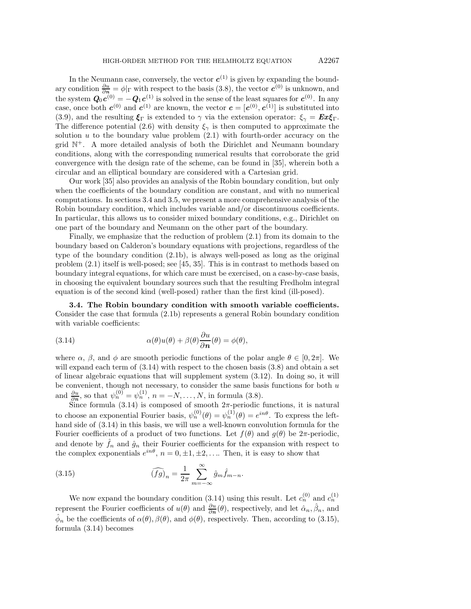In the Neumann case, conversely, the vector  $c^{(1)}$  is given by expanding the boundary condition  $\frac{\partial u}{\partial n} = \phi|_{\Gamma}$  with respect to the basis (3.8), the vector  $c^{(0)}$  is unknown, and the system  $Q_0 \ddot{c}^{(0)} = -Q_1 c^{(1)}$  is solved in the sense of the least squares for  $c^{(0)}$ . In any case, once both  $c^{(0)}$  and  $c^{(1)}$  are known, the vector  $c = [c^{(0)}, c^{(1)}]$  is substituted into (3.9), and the resulting  $\xi_{\Gamma}$  is extended to  $\gamma$  via the extension operator:  $\xi_{\gamma} = \mathbf{Ex}\xi_{\Gamma}$ . The difference potential (2.6) with density  $\xi_{\gamma}$  is then computed to approximate the solution  $u$  to the boundary value problem  $(2.1)$  with fourth-order accuracy on the grid  $\mathbb{N}^+$ . A more detailed analysis of both the Dirichlet and Neumann boundary conditions, along with the corresponding numerical results that corroborate the grid convergence with the design rate of the scheme, can be found in [35], wherein both a circular and an elliptical boundary are considered with a Cartesian grid.

Our work [35] also provides an analysis of the Robin boundary condition, but only when the coefficients of the boundary condition are constant, and with no numerical computations. In sections 3.4 and 3.5, we present a more comprehensive analysis of the Robin boundary condition, which includes variable and/or discontinuous coefficients. In particular, this allows us to consider mixed boundary conditions, e.g., Dirichlet on one part of the boundary and Neumann on the other part of the boundary.

Finally, we emphasize that the reduction of problem (2.1) from its domain to the boundary based on Calderon's boundary equations with projections, regardless of the type of the boundary condition (2.1b), is always well-posed as long as the original problem (2.1) itself is well-posed; see [45, 35]. This is in contrast to methods based on boundary integral equations, for which care must be exercised, on a case-by-case basis, in choosing the equivalent boundary sources such that the resulting Fredholm integral equation is of the second kind (well-posed) rather than the first kind (ill-posed).

**3.4. The Robin boundary condition with smooth variable coefficients.** Consider the case that formula (2.1b) represents a general Robin boundary condition with variable coefficients:

(3.14) 
$$
\alpha(\theta)u(\theta) + \beta(\theta)\frac{\partial u}{\partial n}(\theta) = \phi(\theta),
$$

where  $\alpha$ ,  $\beta$ , and  $\phi$  are smooth periodic functions of the polar angle  $\theta \in [0, 2\pi]$ . We will expand each term of  $(3.14)$  with respect to the chosen basis  $(3.8)$  and obtain a set of linear algebraic equations that will supplement system (3.12). In doing so, it will be convenient, though not necessary, to consider the same basis functions for both  $u$ and  $\frac{\partial u}{\partial n}$ , so that  $\psi_n^{(0)} = \psi_n^{(1)}$ ,  $n = -N, \ldots, N$ , in formula (3.8).

Since formula  $(3.14)$  is composed of smooth  $2\pi$ -periodic functions, it is natural to choose an exponential Fourier basis,  $\psi_n^{(0)}(\theta) = \psi_n^{(1)}(\theta) = e^{in\theta}$ . To express the lefthand side of (3.14) in this basis, we will use a well-known convolution formula for the Fourier coefficients of a product of two functions. Let  $f(\theta)$  and  $g(\theta)$  be  $2\pi$ -periodic, and denote by  $\hat{f}_n$  and  $\hat{g}_n$  their Fourier coefficients for the expansion with respect to the complex exponentials  $e^{in\theta}$ ,  $n = 0, \pm 1, \pm 2, \ldots$  Then, it is easy to show that

(3.15) 
$$
\widehat{(fg)}_n = \frac{1}{2\pi} \sum_{m=-\infty}^{\infty} \widehat{g}_m \widehat{f}_{m-n}.
$$

We now expand the boundary condition (3.14) using this result. Let  $c_n^{(0)}$  and  $c_n^{(1)}$ represent the Fourier coefficients of  $u(\theta)$  and  $\frac{\partial u}{\partial n}(\theta)$ , respectively, and let  $\hat{\alpha}_n, \hat{\beta}_n$ , and  $\hat{\phi}_n$  be the coefficients of  $\alpha(\theta), \beta(\theta)$ , and  $\phi(\theta)$ , respectively. Then, according to (3.15), formula (3.14) becomes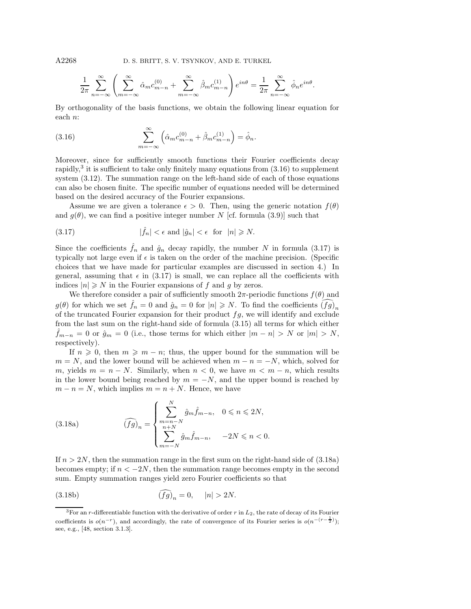A2268 D. S. BRITT, S. V. TSYNKOV, AND E. TURKEL

$$
\frac{1}{2\pi} \sum_{n=-\infty}^{\infty} \left( \sum_{m=-\infty}^{\infty} \hat{\alpha}_m c_{m-n}^{(0)} + \sum_{m=-\infty}^{\infty} \hat{\beta}_m c_{m-n}^{(1)} \right) e^{in\theta} = \frac{1}{2\pi} \sum_{n=-\infty}^{\infty} \hat{\phi}_n e^{in\theta}.
$$

By orthogonality of the basis functions, we obtain the following linear equation for each n:

(3.16) 
$$
\sum_{m=-\infty}^{\infty} \left( \hat{\alpha}_m c_{m-n}^{(0)} + \hat{\beta}_m c_{m-n}^{(1)} \right) = \hat{\phi}_n.
$$

Moreover, since for sufficiently smooth functions their Fourier coefficients decay rapidly,<sup>3</sup> it is sufficient to take only finitely many equations from  $(3.16)$  to supplement system (3.12). The summation range on the left-hand side of each of those equations can also be chosen finite. The specific number of equations needed will be determined based on the desired accuracy of the Fourier expansions.

Assume we are given a tolerance  $\epsilon > 0$ . Then, using the generic notation  $f(\theta)$ and  $g(\theta)$ , we can find a positive integer number N [cf. formula (3.9)] such that

(3.17) 
$$
|\hat{f}_n| < \epsilon \text{ and } |\hat{g}_n| < \epsilon \text{ for } |n| \ge N.
$$

Since the coefficients  $\hat{f}_n$  and  $\hat{g}_n$  decay rapidly, the number N in formula (3.17) is typically not large even if  $\epsilon$  is taken on the order of the machine precision. (Specific choices that we have made for particular examples are discussed in section 4.) In general, assuming that  $\epsilon$  in (3.17) is small, we can replace all the coefficients with indices  $|n| \ge N$  in the Fourier expansions of f and g by zeros.

We therefore consider a pair of sufficiently smooth  $2\pi$ -periodic functions  $f(\theta)$  and  $g(\theta)$  for which we set  $\hat{f}_n = 0$  and  $\hat{g}_n = 0$  for  $|n| \geq N$ . To find the coefficients  $\widehat{(fg)}_n$ of the truncated Fourier expansion for their product  $fg$ , we will identify and exclude from the last sum on the right-hand side of formula (3.15) all terms for which either  $\hat{f}_{m-n} = 0$  or  $\hat{g}_m = 0$  (i.e., those terms for which either  $|m - n| > N$  or  $|m| > N$ , respectively).

If  $n \geq 0$ , then  $m \geq m - n$ ; thus, the upper bound for the summation will be  $m = N$ , and the lower bound will be achieved when  $m - n = -N$ , which, solved for m, yields  $m = n - N$ . Similarly, when  $n < 0$ , we have  $m < m - n$ , which results in the lower bound being reached by  $m = -N$ , and the upper bound is reached by  $m - n = N$ , which implies  $m = n + N$ . Hence, we have

(3.18a) 
$$
\widehat{(fg)}_n = \begin{cases} \sum_{m=n-N}^N \hat{g}_m \hat{f}_{m-n}, & 0 \leqslant n \leqslant 2N, \\ \sum_{n+N}^{n+N} \hat{g}_m \hat{f}_{m-n}, & -2N \leqslant n < 0. \end{cases}
$$

If  $n > 2N$ , then the summation range in the first sum on the right-hand side of  $(3.18a)$ becomes empty; if  $n < -2N$ , then the summation range becomes empty in the second sum. Empty summation ranges yield zero Fourier coefficients so that

(3.18b) 
$$
\widehat{(fg)}_n = 0, \quad |n| > 2N.
$$

<sup>&</sup>lt;sup>3</sup>For an r-differentiable function with the derivative of order r in  $L_2$ , the rate of decay of its Fourier coefficients is  $o(n^{-r})$ , and accordingly, the rate of convergence of its Fourier series is  $o(n^{-(r-\frac{1}{2})})$ ; see, e.g., [48, section 3.1.3].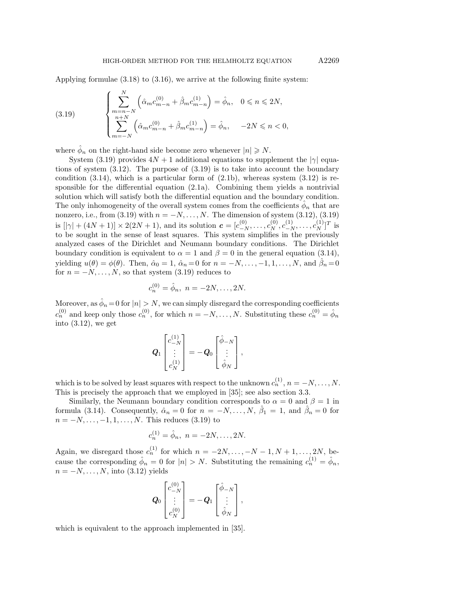Applying formulae (3.18) to (3.16), we arrive at the following finite system:

(3.19) 
$$
\begin{cases} \sum_{m=n-N}^{N} \left( \hat{\alpha}_{m} c_{m-n}^{(0)} + \hat{\beta}_{m} c_{m-n}^{(1)} \right) = \hat{\phi}_{n}, & 0 \leq n \leq 2N, \\ \sum_{n+N}^{n+N} \left( \hat{\alpha}_{m} c_{m-n}^{(0)} + \hat{\beta}_{m} c_{m-n}^{(1)} \right) = \hat{\phi}_{n}, & -2N \leq n < 0, \end{cases}
$$

where  $\hat{\phi}_n$  on the right-hand side become zero whenever  $|n| \geq N$ .

System (3.19) provides  $4N + 1$  additional equations to supplement the  $|\gamma|$  equations of system  $(3.12)$ . The purpose of  $(3.19)$  is to take into account the boundary condition  $(3.14)$ , which is a particular form of  $(2.1b)$ , whereas system  $(3.12)$  is responsible for the differential equation (2.1a). Combining them yields a nontrivial solution which will satisfy both the differential equation and the boundary condition. The only inhomogeneity of the overall system comes from the coefficients  $\phi_n$  that are nonzero, i.e., from  $(3.19)$  with  $n = -N, \ldots, N$ . The dimension of system  $(3.12), (3.19)$ is  $[|\gamma| + (4N+1)] \times 2(2N+1)$ , and its solution  $\mathbf{c} = [c_{-N}^{(0)}, \dots, c_N^{(0)}, c_{-N}^{(1)}, \dots, c_N^{(1)}]^T$  is to be sought in the sense of least squares. This system simplifies in the previously analyzed cases of the Dirichlet and Neumann boundary conditions. The Dirichlet boundary condition is equivalent to  $\alpha = 1$  and  $\beta = 0$  in the general equation (3.14), yielding  $u(\theta) = \phi(\theta)$ . Then,  $\hat{\alpha}_0 = 1$ ,  $\hat{\alpha}_n = 0$  for  $n = -N, \ldots, -1, 1, \ldots, N$ , and  $\hat{\beta}_n = 0$ for  $n = -N, \ldots, N$ , so that system (3.19) reduces to

$$
c_n^{(0)} = \hat{\phi}_n, \ n = -2N, \dots, 2N.
$$

Moreover, as  $\hat{\phi}_n = 0$  for  $|n| > N$ , we can simply disregard the corresponding coefficients  $c_n^{(0)}$  and keep only those  $c_n^{(0)}$ , for which  $n = -N, \ldots, N$ . Substituting these  $c_n^{(0)} = \hat{\phi}_n$ into  $(3.12)$ , we get

$$
\boldsymbol{Q}_1\begin{bmatrix}c_{-N}^{(1)}\\\vdots\\c_N^{(1)}\end{bmatrix}=-\boldsymbol{Q}_0\begin{bmatrix}\hat{\phi}_{-N}\\\vdots\\ \hat{\phi}_{N}\end{bmatrix},
$$

which is to be solved by least squares with respect to the unknown  $c_n^{(1)}$ ,  $n = -N, \ldots, N$ . This is precisely the approach that we employed in [35]; see also section 3.3.

Similarly, the Neumann boundary condition corresponds to  $\alpha = 0$  and  $\beta = 1$  in formula (3.14). Consequently,  $\hat{\alpha}_n = 0$  for  $n = -N, \ldots, N, \hat{\beta}_1 = 1$ , and  $\hat{\beta}_n = 0$  for  $n = -N, \ldots, -1, 1, \ldots, N$ . This reduces (3.19) to

$$
c_n^{(1)} = \hat{\phi}_n, \ n = -2N, \dots, 2N.
$$

Again, we disregard those  $c_n^{(1)}$  for which  $n = -2N, \ldots, -N-1, N+1, \ldots, 2N$ , because the corresponding  $\hat{\phi}_n = 0$  for  $|n| > N$ . Substituting the remaining  $c_n^{(1)} = \hat{\phi}_n$ ,  $n = -N, \ldots, N$ , into (3.12) yields

$$
\boldsymbol{Q}_0 \begin{bmatrix} c^{(0)}_{-N} \\ \vdots \\ c^{(0)}_{N} \end{bmatrix} = - \boldsymbol{Q}_1 \begin{bmatrix} \hat{\phi}_{-N} \\ \vdots \\ \hat{\phi}_{N} \end{bmatrix},
$$

which is equivalent to the approach implemented in [35].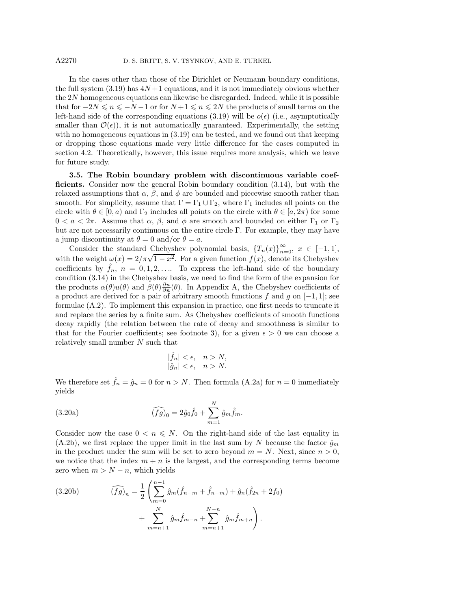In the cases other than those of the Dirichlet or Neumann boundary conditions, the full system  $(3.19)$  has  $4N+1$  equations, and it is not immediately obvious whether the 2N homogeneous equations can likewise be disregarded. Indeed, while it is possible that for  $-2N \leq n \leq -N-1$  or for  $N+1 \leq n \leq 2N$  the products of small terms on the left-hand side of the corresponding equations (3.19) will be  $o(\epsilon)$  (i.e., asymptotically smaller than  $\mathcal{O}(\epsilon)$ , it is not automatically guaranteed. Experimentally, the setting with no homogeneous equations in  $(3.19)$  can be tested, and we found out that keeping or dropping those equations made very little difference for the cases computed in section 4.2. Theoretically, however, this issue requires more analysis, which we leave for future study.

**3.5. The Robin boundary problem with discontinuous variable coefficients.** Consider now the general Robin boundary condition (3.14), but with the relaxed assumptions that  $\alpha$ ,  $\beta$ , and  $\phi$  are bounded and piecewise smooth rather than smooth. For simplicity, assume that  $\Gamma = \Gamma_1 \cup \Gamma_2$ , where  $\Gamma_1$  includes all points on the circle with  $\theta \in [0, a)$  and  $\Gamma_2$  includes all points on the circle with  $\theta \in [a, 2\pi)$  for some  $0 < a < 2\pi$ . Assume that  $\alpha$ ,  $\beta$ , and  $\phi$  are smooth and bounded on either  $\Gamma_1$  or  $\Gamma_2$ but are not necessarily continuous on the entire circle  $\Gamma$ . For example, they may have a jump discontinuity at  $\theta = 0$  and/or  $\theta = a$ .

Consider the standard Chebyshev polynomial basis,  ${T_n(x)}_{n=0}^{\infty}$ ,  $x \in [-1,1]$ , with the weight  $\omega(x)=2/\pi\sqrt{1-x^2}$ . For a given function  $f(x)$ , denote its Chebyshev coefficients by  $\hat{f}_n$ ,  $n = 0, 1, 2, \ldots$  To express the left-hand side of the boundary condition (3.14) in the Chebyshev basis, we need to find the form of the expansion for the products  $\alpha(\theta)u(\theta)$  and  $\beta(\theta)\frac{\partial u}{\partial n}(\theta)$ . In Appendix A, the Chebyshev coefficients of a product are derived for a pair of arbitrary smooth functions f and g on  $[-1, 1]$ ; see formulae (A.2). To implement this expansion in practice, one first needs to truncate it and replace the series by a finite sum. As Chebyshev coefficients of smooth functions decay rapidly (the relation between the rate of decay and smoothness is similar to that for the Fourier coefficients; see footnote 3), for a given  $\epsilon > 0$  we can choose a relatively small number  $N$  such that

$$
|\hat{f}_n| < \epsilon, \quad n > N, \\
|\hat{g}_n| < \epsilon, \quad n > N.
$$

We therefore set  $\hat{f}_n = \hat{g}_n = 0$  for  $n > N$ . Then formula (A.2a) for  $n = 0$  immediately yields

(3.20a) 
$$
\widehat{(fg)}_0 = 2\hat{g}_0\hat{f}_0 + \sum_{m=1}^N \hat{g}_m\hat{f}_m.
$$

Consider now the case  $0 < n \leq N$ . On the right-hand side of the last equality in (A.2b), we first replace the upper limit in the last sum by N because the factor  $\hat{g}_m$ in the product under the sum will be set to zero beyond  $m = N$ . Next, since  $n > 0$ , we notice that the index  $m + n$  is the largest, and the corresponding terms become zero when  $m > N - n$ , which yields

(3.20b) 
$$
\widehat{(fg)}_n = \frac{1}{2} \left( \sum_{m=0}^{n-1} \hat{g}_m (\hat{f}_{n-m} + \hat{f}_{n+m}) + \hat{g}_n (\hat{f}_{2n} + 2f_0) + \sum_{m=n+1}^{N} \hat{g}_m \hat{f}_{m-n} + \sum_{m=n+1}^{N-n} \hat{g}_m \hat{f}_{m+n} \right).
$$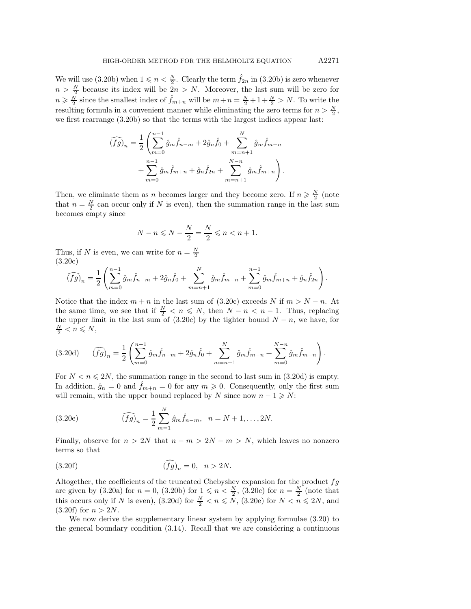We will use (3.20b) when  $1 \leq n < \frac{N}{2}$ . Clearly the term  $\hat{f}_{2n}$  in (3.20b) is zero whenever  $n > \frac{N}{2}$  because its index will be  $2n > N$ . Moreover, the last sum will be zero for  $n \geq \frac{N}{2}$  since the smallest index of  $\hat{f}_{m+n}$  will be  $m+n = \frac{N}{2}+1+\frac{N}{2} > N$ . To write the resulting formula in a convenient manner while eliminating the zero terms for  $n > \frac{N}{2}$ , we first rearrange (3.20b) so that the terms with the largest indices appear last:

$$
(\widehat{fg})_n = \frac{1}{2} \left( \sum_{m=0}^{n-1} \hat{g}_m \hat{f}_{n-m} + 2\hat{g}_n \hat{f}_0 + \sum_{m=n+1}^{N} \hat{g}_m \hat{f}_{m-n} + \sum_{m=0}^{n-1} \hat{g}_m \hat{f}_{m+n} + \hat{g}_n \hat{f}_{2n} + \sum_{m=n+1}^{N-n} \hat{g}_m \hat{f}_{m+n} \right).
$$

Then, we eliminate them as *n* becomes larger and they become zero. If  $n \geq \frac{N}{2}$  (note that  $n = \frac{N}{2}$  can occur only if N is even), then the summation range in the last sum becomes empty since

$$
N - n \leqslant N - \frac{N}{2} = \frac{N}{2} \leqslant n < n + 1.
$$

Thus, if N is even, we can write for  $n = \frac{N}{2}$ (3.20c)

$$
\widehat{(fg)}_n = \frac{1}{2} \left( \sum_{m=0}^{n-1} \hat{g}_m \hat{f}_{n-m} + 2 \hat{g}_n \hat{f}_0 + \sum_{m=n+1}^{N} \hat{g}_m \hat{f}_{m-n} + \sum_{m=0}^{n-1} \hat{g}_m \hat{f}_{m+n} + \hat{g}_n \hat{f}_{2n} \right).
$$

Notice that the index  $m + n$  in the last sum of (3.20c) exceeds N if  $m > N - n$ . At the same time, we see that if  $\frac{N}{2} < n \leq N$ , then  $N - n < n - 1$ . Thus, replacing the upper limit in the last sum of  $(3.20c)$  by the tighter bound  $N - n$ , we have, for  $\frac{N}{2}$  <  $n \leqslant N$ ,

$$
(3.20d) \qquad \widehat{(fg)}_n = \frac{1}{2} \left( \sum_{m=0}^{n-1} \hat{g}_m \hat{f}_{n-m} + 2\hat{g}_n \hat{f}_0 + \sum_{m=n+1}^{N} \hat{g}_m \hat{f}_{m-n} + \sum_{m=0}^{N-n} \hat{g}_m \hat{f}_{m+n} \right).
$$

For  $N < n \leq 2N$ , the summation range in the second to last sum in (3.20d) is empty. In addition,  $\hat{g}_n = 0$  and  $\hat{f}_{m+n} = 0$  for any  $m \geqslant 0$ . Consequently, only the first sum will remain, with the upper bound replaced by N since now  $n - 1 \ge N$ :

(3.20e) 
$$
\widehat{(fg)}_n = \frac{1}{2} \sum_{m=1}^N \hat{g}_m \hat{f}_{n-m}, \quad n = N+1, \dots, 2N.
$$

Finally, observe for  $n > 2N$  that  $n - m > 2N - m > N$ , which leaves no nonzero terms so that

(3.20f) ( fg)<sup>n</sup> = 0, n> 2N.

Altogether, the coefficients of the truncated Chebyshev expansion for the product  $fg$ are given by (3.20a) for  $n = 0$ , (3.20b) for  $1 \leq n \leq \frac{N}{2}$ , (3.20c) for  $n = \frac{N}{2}$  (note that this occurs only if N is even), (3.20d) for  $\frac{N}{2} < n \leq N$ , (3.20e) for  $N < n \leq 2N$ , and  $(3.20f)$  for  $n > 2N$ .

We now derive the supplementary linear system by applying formulae (3.20) to the general boundary condition (3.14). Recall that we are considering a continuous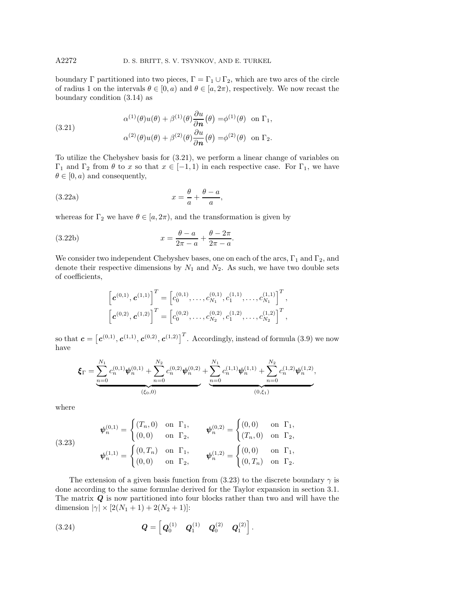boundary Γ partitioned into two pieces,  $\Gamma = \Gamma_1 \cup \Gamma_2$ , which are two arcs of the circle of radius 1 on the intervals  $\theta \in [0, a)$  and  $\theta \in [a, 2\pi)$ , respectively. We now recast the boundary condition (3.14) as

(3.21) 
$$
\alpha^{(1)}(\theta)u(\theta) + \beta^{(1)}(\theta)\frac{\partial u}{\partial n}(\theta) = \phi^{(1)}(\theta) \text{ on } \Gamma_1,
$$

$$
\alpha^{(2)}(\theta)u(\theta) + \beta^{(2)}(\theta)\frac{\partial u}{\partial n}(\theta) = \phi^{(2)}(\theta) \text{ on } \Gamma_2.
$$

To utilize the Chebyshev basis for (3.21), we perform a linear change of variables on  $Γ_1$  and  $Γ_2$  from  $θ$  to x so that  $x ∈ [−1,1)$  in each respective case. For  $Γ_1$ , we have  $\theta \in [0, a)$  and consequently,

(3.22a) 
$$
x = \frac{\theta}{a} + \frac{\theta - a}{a},
$$

whereas for  $\Gamma_2$  we have  $\theta \in [a, 2\pi)$ , and the transformation is given by

(3.22b) 
$$
x = \frac{\theta - a}{2\pi - a} + \frac{\theta - 2\pi}{2\pi - a}.
$$

We consider two independent Chebyshev bases, one on each of the arcs,  $\Gamma_1$  and  $\Gamma_2$ , and denote their respective dimensions by  $N_1$  and  $N_2$ . As such, we have two double sets of coefficients,

$$
\begin{bmatrix} \boldsymbol{c}^{(0,1)}, \boldsymbol{c}^{(1,1)} \end{bmatrix}^T = \begin{bmatrix} c_0^{(0,1)}, \dots, c_{N_1}^{(0,1)}, c_1^{(1,1)}, \dots, c_{N_1}^{(1,1)} \end{bmatrix}^T, \\ \begin{bmatrix} \boldsymbol{c}^{(0,2)}, \boldsymbol{c}^{(1,2)} \end{bmatrix}^T = \begin{bmatrix} c_0^{(0,2)}, \dots, c_{N_2}^{(0,2)}, c_1^{(1,2)}, \dots, c_{N_2}^{(1,2)} \end{bmatrix}^T,
$$

so that  $c = [c^{(0,1)}, c^{(1,1)}, c^{(0,2)}, c^{(1,2)}]^T$ . Accordingly, instead of formula (3.9) we now have

$$
\xi_{\Gamma} = \underbrace{\sum_{n=0}^{N_1} c_n^{(0,1)} \psi_n^{(0,1)} + \sum_{n=0}^{N_2} c_n^{(0,2)} \psi_n^{(0,2)}}_{(\xi_0,0)} + \underbrace{\sum_{n=0}^{N_1} c_n^{(1,1)} \psi_n^{(1,1)} + \sum_{n=0}^{N_2} c_n^{(1,2)} \psi_n^{(1,2)}}_{(0,\xi_1)},
$$

where

(3.23) 
$$
\psi_n^{(0,1)} = \begin{cases} (T_n, 0) & \text{on } \Gamma_1, \\ (0,0) & \text{on } \Gamma_2, \end{cases} \qquad \psi_n^{(0,2)} = \begin{cases} (0,0) & \text{on } \Gamma_1, \\ (T_n, 0) & \text{on } \Gamma_2, \end{cases}
$$

$$
\psi_n^{(1,1)} = \begin{cases} (0, T_n) & \text{on } \Gamma_1, \\ (0,0) & \text{on } \Gamma_2, \end{cases} \qquad \psi_n^{(1,2)} = \begin{cases} (0,0) & \text{on } \Gamma_1, \\ (0, T_n) & \text{on } \Gamma_2. \end{cases}
$$

The extension of a given basis function from (3.23) to the discrete boundary  $\gamma$  is done according to the same formulae derived for the Taylor expansion in section 3.1. The matrix *Q* is now partitioned into four blocks rather than two and will have the dimension  $|\gamma| \times [2(N_1 + 1) + 2(N_2 + 1)]$ :

(3.24) 
$$
Q = \begin{bmatrix} Q_0^{(1)} & Q_1^{(1)} & Q_0^{(2)} & Q_1^{(2)} \end{bmatrix}.
$$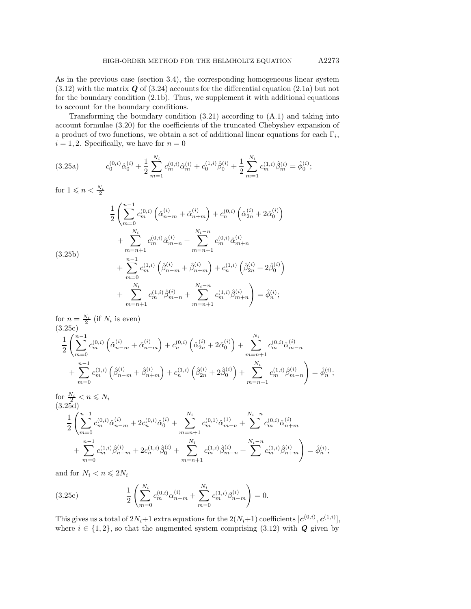As in the previous case (section 3.4), the corresponding homogeneous linear system (3.12) with the matrix *Q* of (3.24) accounts for the differential equation (2.1a) but not for the boundary condition (2.1b). Thus, we supplement it with additional equations to account for the boundary conditions.

Transforming the boundary condition  $(3.21)$  according to  $(A.1)$  and taking into account formulae (3.20) for the coefficients of the truncated Chebyshev expansion of a product of two functions, we obtain a set of additional linear equations for each  $\Gamma_i$ ,  $i = 1, 2$ . Specifically, we have for  $n = 0$ 

(3.25a) 
$$
c_0^{(0,i)}\hat{\alpha}_0^{(i)} + \frac{1}{2}\sum_{m=1}^{N_i} c_m^{(0,i)}\hat{\alpha}_m^{(i)} + c_0^{(1,i)}\hat{\beta}_0^{(i)} + \frac{1}{2}\sum_{m=1}^{N_i} c_m^{(1,i)}\hat{\beta}_m^{(i)} = \hat{\phi}_0^{(i)};
$$

for  $1 \leqslant n < \frac{N_i}{2}$ (3.25b) 1 2  $\left(\sum_{n=1}^{n} \right)$  $m=0$  $c_{m}^{(0,i)}\left(\hat{\alpha}_{n-m}^{(i)}+\hat{\alpha}_{n+m}^{(i)}\right)+c_{n}^{(0,i)}\left(\hat{\alpha}_{2n}^{(i)}+2\hat{\alpha}_{0}^{(i)}\right)$  $+\sum_{i=1}^{N_i}$  $m=n+1$  $c_{m}^{(0,i)}\hat{\alpha}_{m-n}^{(i)}$  + N *<sup>i</sup>*−<sup>n</sup>  $m=n+1$  $c_m^{(0,i)} \hat{\alpha}_{m+n}^{(i)}$ +  $\sum_{ }^{n-1}$  $\frac{m=0}{m}$  $c_{m}^{(1,i)}\left(\hat{\beta}_{n-m}^{(i)}+\hat{\beta}_{n+m}^{(i)}\right)+c_{n}^{(1,i)}\left(\hat{\beta}_{2n}^{(i)}+2\hat{\beta}_{0}^{(i)}\right)$  $+\sum_{i=1}^{N_i}$  $m=n+1$  $c_{m}^{(1,i)}\hat{\beta}_{m-n}^{(i)} +$ N *<sup>i</sup>*−<sup>n</sup>  $m=n+1$  $c_m^{(1,i)}\hat{\beta}_{m+n}^{(i)}$  $\setminus$  $=\hat{\phi}_n^{(i)}$ ;

for 
$$
n = \frac{N_i}{2}
$$
 (if  $N_i$  is even)  
\n(3.25c)  
\n
$$
\frac{1}{2} \left( \sum_{m=0}^{n-1} c_m^{(0,i)} \left( \hat{\alpha}_{n-m}^{(i)} + \hat{\alpha}_{n+m}^{(i)} \right) + c_n^{(0,i)} \left( \hat{\alpha}_{2n}^{(i)} + 2 \hat{\alpha}_0^{(i)} \right) + \sum_{m=n+1}^{N_i} c_m^{(0,i)} \hat{\alpha}_{m-n}^{(i)}
$$
\n
$$
+ \sum_{m=0}^{n-1} c_m^{(1,i)} \left( \hat{\beta}_{n-m}^{(i)} + \hat{\beta}_{n+m}^{(i)} \right) + c_n^{(1,i)} \left( \hat{\beta}_{2n}^{(i)} + 2 \hat{\beta}_0^{(i)} \right) + \sum_{m=n+1}^{N_i} c_m^{(1,i)} \hat{\beta}_{m-n}^{(i)} \right) = \hat{\phi}_n^{(i)};
$$

for 
$$
\frac{N_i}{2} < n \le N_i
$$
  
\n(3.25d)  
\n
$$
\frac{1}{2} \left( \sum_{m=0}^{n-1} c_m^{(0,i)} \hat{\alpha}_{n-m}^{(i)} + 2c_n^{(0,i)} \hat{\alpha}_0^{(i)} + \sum_{m=n+1}^{N_i} c_m^{(0,1)} \hat{\alpha}_{m-n}^{(1)} + \sum_{m=1}^{N_i - n} c_m^{(0,i)} \hat{\alpha}_{n+m}^{(i)}
$$
\n
$$
+ \sum_{m=0}^{n-1} c_m^{(1,i)} \hat{\beta}_{n-m}^{(i)} + 2c_n^{(1,i)} \hat{\beta}_0^{(i)} + \sum_{m=n+1}^{N_i} c_m^{(1,i)} \hat{\beta}_{m-n}^{(i)} + \sum_{m=n+1}^{N_i - n} c_m^{(1,i)} \hat{\beta}_{n+m}^{(i)} \right) = \hat{\phi}_n^{(i)};
$$

and for  $N_i < n \leqslant 2N_i$ 

(3.25e) 
$$
\frac{1}{2} \left( \sum_{m=0}^{N_i} c_m^{(0,i)} \alpha_{n-m}^{(i)} + \sum_{m=0}^{N_i} c_m^{(1,i)} \beta_{n-m}^{(i)} \right) = 0.
$$

This gives us a total of  $2N_i+1$  extra equations for the  $2(N_i+1)$  coefficients  $\lbrack c^{(0,i)}, c^{(1,i)} \rbrack$ , where  $i \in \{1, 2\}$ , so that the augmented system comprising  $(3.12)$  with *Q* given by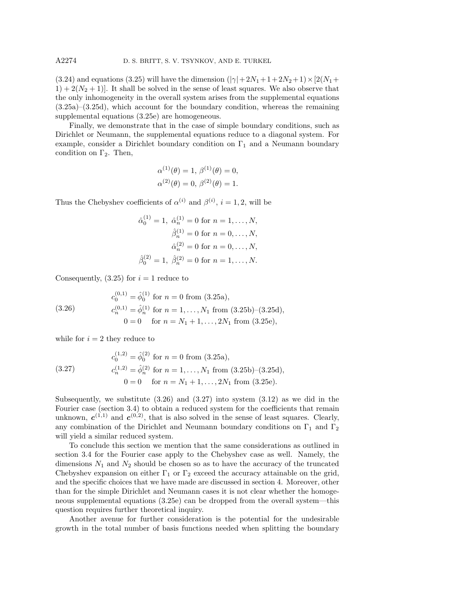(3.24) and equations (3.25) will have the dimension  $(|\gamma| + 2N_1 + 1 + 2N_2 + 1) \times [2(N_1 +$  $1+2(N_2+1)$ . It shall be solved in the sense of least squares. We also observe that the only inhomogeneity in the overall system arises from the supplemental equations (3.25a)–(3.25d), which account for the boundary condition, whereas the remaining supplemental equations (3.25e) are homogeneous.

Finally, we demonstrate that in the case of simple boundary conditions, such as Dirichlet or Neumann, the supplemental equations reduce to a diagonal system. For example, consider a Dirichlet boundary condition on  $\Gamma_1$  and a Neumann boundary condition on  $\Gamma_2$ . Then,

$$
\alpha^{(1)}(\theta) = 1, \ \beta^{(1)}(\theta) = 0,
$$
  
\n $\alpha^{(2)}(\theta) = 0, \ \beta^{(2)}(\theta) = 1.$ 

Thus the Chebyshev coefficients of  $\alpha^{(i)}$  and  $\beta^{(i)}$ ,  $i = 1, 2$ , will be

$$
\hat{\alpha}_0^{(1)} = 1, \ \hat{\alpha}_n^{(1)} = 0 \text{ for } n = 1, ..., N,
$$

$$
\hat{\beta}_n^{(1)} = 0 \text{ for } n = 0, ..., N,
$$

$$
\hat{\alpha}_n^{(2)} = 0 \text{ for } n = 0, ..., N,
$$

$$
\hat{\beta}_0^{(2)} = 1, \ \hat{\beta}_n^{(2)} = 0 \text{ for } n = 1, ..., N.
$$

Consequently,  $(3.25)$  for  $i = 1$  reduce to

(3.26) 
$$
c_0^{(0,1)} = \hat{\phi}_0^{(1)} \text{ for } n = 0 \text{ from (3.25a)},
$$

$$
c_n^{(0,1)} = \hat{\phi}_n^{(1)} \text{ for } n = 1, ..., N_1 \text{ from (3.25b)–(3.25d)},
$$

$$
0 = 0 \text{ for } n = N_1 + 1, ..., 2N_1 \text{ from (3.25e)},
$$

while for  $i = 2$  they reduce to

(3.27) 
$$
c_0^{(1,2)} = \hat{\phi}_0^{(2)} \text{ for } n = 0 \text{ from } (3.25a),
$$

$$
c_n^{(1,2)} = \hat{\phi}_n^{(2)} \text{ for } n = 1, ..., N_1 \text{ from } (3.25b)-(3.25d),
$$

$$
0 = 0 \text{ for } n = N_1 + 1, ..., 2N_1 \text{ from } (3.25e).
$$

Subsequently, we substitute  $(3.26)$  and  $(3.27)$  into system  $(3.12)$  as we did in the Fourier case (section 3.4) to obtain a reduced system for the coefficients that remain unknown,  $c^{(1,1)}$  and  $c^{(0,2)}$ , that is also solved in the sense of least squares. Clearly, any combination of the Dirichlet and Neumann boundary conditions on  $\Gamma_1$  and  $\Gamma_2$ will yield a similar reduced system.

To conclude this section we mention that the same considerations as outlined in section 3.4 for the Fourier case apply to the Chebyshev case as well. Namely, the dimensions  $N_1$  and  $N_2$  should be chosen so as to have the accuracy of the truncated Chebyshev expansion on either  $\Gamma_1$  or  $\Gamma_2$  exceed the accuracy attainable on the grid, and the specific choices that we have made are discussed in section 4. Moreover, other than for the simple Dirichlet and Neumann cases it is not clear whether the homogeneous supplemental equations (3.25e) can be dropped from the overall system—this question requires further theoretical inquiry.

Another avenue for further consideration is the potential for the undesirable growth in the total number of basis functions needed when splitting the boundary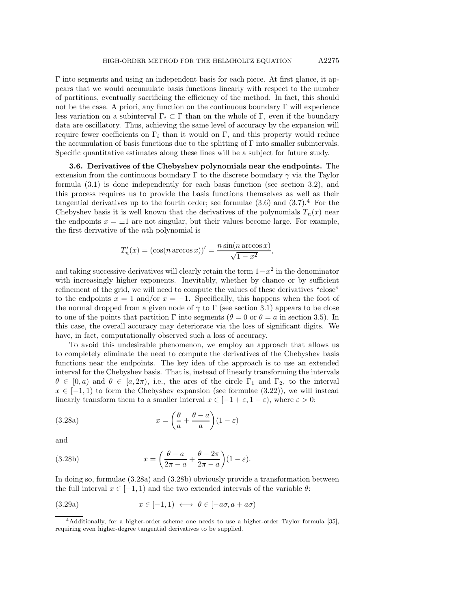Γ into segments and using an independent basis for each piece. At first glance, it appears that we would accumulate basis functions linearly with respect to the number of partitions, eventually sacrificing the efficiency of the method. In fact, this should not be the case. A priori, any function on the continuous boundary  $\Gamma$  will experience less variation on a subinterval  $\Gamma_i \subset \Gamma$  than on the whole of  $\Gamma$ , even if the boundary data are oscillatory. Thus, achieving the same level of accuracy by the expansion will require fewer coefficients on  $\Gamma_i$  than it would on  $\Gamma$ , and this property would reduce the accumulation of basis functions due to the splitting of  $\Gamma$  into smaller subintervals. Specific quantitative estimates along these lines will be a subject for future study.

**3.6. Derivatives of the Chebyshev polynomials near the endpoints.** The extension from the continuous boundary  $\Gamma$  to the discrete boundary  $\gamma$  via the Taylor formula (3.1) is done independently for each basis function (see section 3.2), and this process requires us to provide the basis functions themselves as well as their tangential derivatives up to the fourth order; see formulae  $(3.6)$  and  $(3.7).<sup>4</sup>$  For the Chebyshev basis it is well known that the derivatives of the polynomials  $T_n(x)$  near the endpoints  $x = \pm 1$  are not singular, but their values become large. For example, the first derivative of the nth polynomial is

$$
T'_n(x) = (\cos(n \arccos x))' = \frac{n \sin(n \arccos x)}{\sqrt{1 - x^2}},
$$

and taking successive derivatives will clearly retain the term  $1-x^2$  in the denominator with increasingly higher exponents. Inevitably, whether by chance or by sufficient refinement of the grid, we will need to compute the values of these derivatives "close" to the endpoints  $x = 1$  and/or  $x = -1$ . Specifically, this happens when the foot of the normal dropped from a given node of  $\gamma$  to  $\Gamma$  (see section 3.1) appears to be close to one of the points that partition  $\Gamma$  into segments ( $\theta = 0$  or  $\theta = a$  in section 3.5). In this case, the overall accuracy may deteriorate via the loss of significant digits. We have, in fact, computationally observed such a loss of accuracy.

To avoid this undesirable phenomenon, we employ an approach that allows us to completely eliminate the need to compute the derivatives of the Chebyshev basis functions near the endpoints. The key idea of the approach is to use an extended interval for the Chebyshev basis. That is, instead of linearly transforming the intervals  $\theta \in [0, a)$  and  $\theta \in [a, 2\pi)$ , i.e., the arcs of the circle  $\Gamma_1$  and  $\Gamma_2$ , to the interval  $x \in [-1,1)$  to form the Chebyshev expansion (see formulae (3.22)), we will instead linearly transform them to a smaller interval  $x \in [-1 + \varepsilon, 1 - \varepsilon)$ , where  $\varepsilon > 0$ :

(3.28a) 
$$
x = \left(\frac{\theta}{a} + \frac{\theta - a}{a}\right)(1 - \varepsilon)
$$

and

(3.28b) 
$$
x = \left(\frac{\theta - a}{2\pi - a} + \frac{\theta - 2\pi}{2\pi - a}\right)(1 - \varepsilon).
$$

In doing so, formulae (3.28a) and (3.28b) obviously provide a transformation between the full interval  $x \in [-1, 1)$  and the two extended intervals of the variable  $\theta$ :

$$
(3.29a) \t x \in [-1,1) \leftrightarrow \theta \in [-a\sigma, a + a\sigma)
$$

<sup>4</sup>Additionally, for a higher-order scheme one needs to use a higher-order Taylor formula [35], requiring even higher-degree tangential derivatives to be supplied.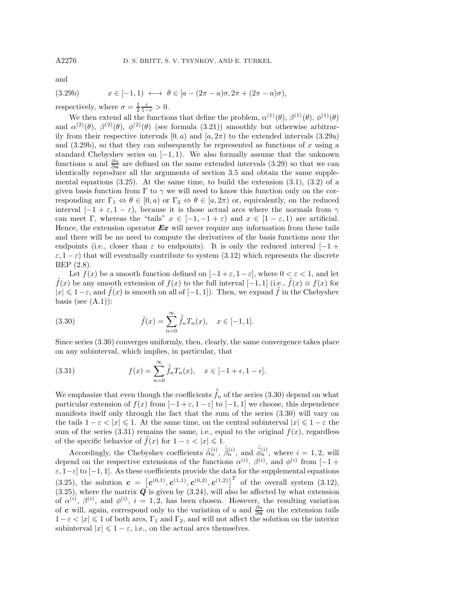and

$$
(3.29b) \t x \in [-1,1) \leftrightarrow \theta \in [a - (2\pi - a)\sigma, 2\pi + (2\pi - a)\sigma),
$$

respectively, where  $\sigma = \frac{1}{2} \frac{\varepsilon}{1 - \varepsilon} > 0$ .

We then extend all the functions that define the problem,  $\alpha^{(1)}(\theta)$ ,  $\beta^{(1)}(\theta)$ ,  $\phi^{(1)}(\theta)$ and  $\alpha^{(2)}(\theta)$ ,  $\beta^{(2)}(\theta)$ ,  $\phi^{(2)}(\theta)$  (see formula (3.21)) smoothly but otherwise arbitrarily from their respective intervals  $[0, a)$  and  $[a, 2\pi)$  to the extended intervals  $(3.29a)$ and  $(3.29b)$ , so that they can subsequently be represented as functions of x using a standard Chebyshev series on  $[-1, 1)$ . We also formally assume that the unknown functions u and  $\frac{\partial u}{\partial n}$  are defined on the same extended intervals (3.29) so that we can identically reproduce all the arguments of section 3.5 and obtain the same supplemental equations  $(3.25)$ . At the same time, to build the extension  $(3.1)$ ,  $(3.2)$  of a given basis function from Γ to  $\gamma$  we will need to know this function only on the corresponding arc  $\Gamma_1 \Leftrightarrow \theta \in [0, a)$  or  $\Gamma_2 \Leftrightarrow \theta \in [a, 2\pi)$  or, equivalently, on the reduced interval  $[-1 + \varepsilon, 1 - \varepsilon]$ , because it is those actual arcs where the normals from  $\gamma$ can meet Γ, whereas the "tails"  $x \in [-1, -1 + \varepsilon)$  and  $x \in [1 - \varepsilon, 1)$  are artificial. Hence, the extension operator **Ex** will never require any information from these tails and there will be no need to compute the derivatives of the basis functions near the endpoints (i.e., closer than  $\varepsilon$  to endpoints). It is only the reduced interval [-1 +  $\varepsilon$ ,  $1-\varepsilon$ ) that will eventually contribute to system (3.12) which represents the discrete BEP (2.8).

Let  $f(x)$  be a smooth function defined on  $[-1 + \varepsilon, 1 - \varepsilon]$ , where  $0 < \varepsilon < 1$ , and let  $\tilde{f}(x)$  be any smooth extension of  $f(x)$  to the full interval  $[-1, 1]$  (i.e.,  $\tilde{f}(x) \equiv f(x)$  for  $|x| \leq 1-\varepsilon$ , and  $\tilde{f}(x)$  is smooth on all of  $[-1, 1]$ ). Then, we expand  $\tilde{f}$  in the Chebyshev basis (see  $(A.1)$ ):

(3.30) 
$$
\tilde{f}(x) = \sum_{n=0}^{\infty} \hat{f}_n T_n(x), \quad x \in [-1, 1].
$$

Since series (3.30) converges uniformly, then, clearly, the same convergence takes place on any subinterval, which implies, in particular, that

(3.31) 
$$
f(x) = \sum_{n=0}^{\infty} \hat{f}_n T_n(x), \quad x \in [-1 + \epsilon, 1 - \epsilon].
$$

We emphasize that even though the coefficients  $\tilde{f}_n$  of the series (3.30) depend on what particular extension of  $f(x)$  from  $[-1+\varepsilon, 1-\varepsilon]$  to  $[-1, 1]$  we choose, this dependence manifests itself only through the fact that the sum of the series (3.30) will vary on the tails  $1 - \varepsilon < |x| \leq 1$ . At the same time, on the central subinterval  $|x| \leq 1 - \varepsilon$  the sum of the series (3.31) remains the same, i.e., equal to the original  $f(x)$ , regardless of the specific behavior of  $\tilde{f}(x)$  for  $1 - \varepsilon < |x| \leq 1$ .

Accordingly, the Chebyshev coefficients  $\hat{\tilde{\alpha}}_n^{(i)}$ ,  $\hat{\tilde{\beta}}_n^{(i)}$ , and  $\hat{\tilde{\phi}}_n^{(i)}$ , where  $i = 1, 2$ , will depend on the respective extensions of the functions  $\alpha^{(i)}$ ,  $\beta^{(i)}$ , and  $\phi^{(i)}$  from [-1+  $\varepsilon$ , 1− $\varepsilon$  to [−1, 1]. As these coefficients provide the data for the supplemental equations (3.25), the solution  $\mathbf{c} = \left[ c^{(0,1)}, c^{(1,1)}, c^{(0,2)}, c^{(1,2)} \right]^T$  of the overall system (3.12),  $(3.25)$ , where the matrix  $\boldsymbol{Q}$  is given by  $(3.24)$ , will also be affected by what extension of  $\alpha^{(i)}$ ,  $\beta^{(i)}$ , and  $\phi^{(i)}$ ,  $i = 1, 2$ , has been chosen. However, the resulting variation of *c* will, again, correspond only to the variation of u and  $\frac{\partial u}{\partial n}$  on the extension tails  $1-\varepsilon < |x| \leq 1$  of both arcs,  $\Gamma_1$  and  $\Gamma_2$ , and will not affect the solution on the interior subinterval  $|x| \leq 1 - \varepsilon$ , i.e., on the actual arcs themselves.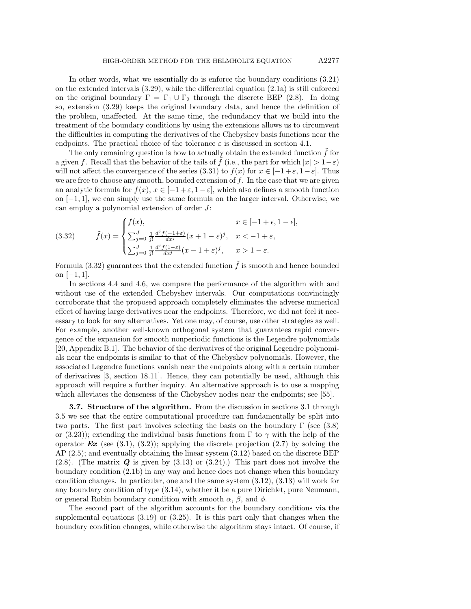In other words, what we essentially do is enforce the boundary conditions (3.21) on the extended intervals (3.29), while the differential equation (2.1a) is still enforced on the original boundary  $\Gamma = \Gamma_1 \cup \Gamma_2$  through the discrete BEP (2.8). In doing so, extension (3.29) keeps the original boundary data, and hence the definition of the problem, unaffected. At the same time, the redundancy that we build into the treatment of the boundary conditions by using the extensions allows us to circumvent the difficulties in computing the derivatives of the Chebyshev basis functions near the endpoints. The practical choice of the tolerance  $\varepsilon$  is discussed in section 4.1.

The only remaining question is how to actually obtain the extended function  $\hat{f}$  for a given f. Recall that the behavior of the tails of f (i.e., the part for which  $|x| > 1-\varepsilon$ ) will not affect the convergence of the series (3.31) to  $f(x)$  for  $x \in [-1+\varepsilon, 1-\varepsilon]$ . Thus we are free to choose any smooth, bounded extension of  $f$ . In the case that we are given an analytic formula for  $f(x)$ ,  $x \in [-1 + \varepsilon, 1 - \varepsilon]$ , which also defines a smooth function on  $[-1, 1]$ , we can simply use the same formula on the larger interval. Otherwise, we can employ a polynomial extension of order J:

(3.32) 
$$
\tilde{f}(x) = \begin{cases} f(x), & x \in [-1 + \epsilon, 1 - \epsilon], \\ \sum_{j=0}^{J} \frac{1}{j!} \frac{d^j f(-1+\epsilon)}{dx^j} (x+1-\epsilon)^j, & x < -1 + \epsilon, \\ \sum_{j=0}^{J} \frac{1}{j!} \frac{d^j f(1-\epsilon)}{dx^j} (x-1+\epsilon)^j, & x > 1 - \epsilon. \end{cases}
$$

Formula (3.32) guarantees that the extended function  $\tilde{f}$  is smooth and hence bounded on  $[-1, 1]$ .

In sections 4.4 and 4.6, we compare the performance of the algorithm with and without use of the extended Chebyshev intervals. Our computations convincingly corroborate that the proposed approach completely eliminates the adverse numerical effect of having large derivatives near the endpoints. Therefore, we did not feel it necessary to look for any alternatives. Yet one may, of course, use other strategies as well. For example, another well-known orthogonal system that guarantees rapid convergence of the expansion for smooth nonperiodic functions is the Legendre polynomials [20, Appendix B.1]. The behavior of the derivatives of the original Legendre polynomials near the endpoints is similar to that of the Chebyshev polynomials. However, the associated Legendre functions vanish near the endpoints along with a certain number of derivatives [3, section 18.11]. Hence, they can potentially be used, although this approach will require a further inquiry. An alternative approach is to use a mapping which alleviates the denseness of the Chebyshev nodes near the endpoints; see [55].

**3.7. Structure of the algorithm.** From the discussion in sections 3.1 through 3.5 we see that the entire computational procedure can fundamentally be split into two parts. The first part involves selecting the basis on the boundary  $\Gamma$  (see (3.8) or (3.23)); extending the individual basis functions from  $\Gamma$  to  $\gamma$  with the help of the operator  $\mathbf{Ex}$  (see (3.1), (3.2)); applying the discrete projection (2.7) by solving the AP (2.5); and eventually obtaining the linear system (3.12) based on the discrete BEP (2.8). (The matrix *Q* is given by (3.13) or (3.24).) This part does not involve the boundary condition (2.1b) in any way and hence does not change when this boundary condition changes. In particular, one and the same system (3.12), (3.13) will work for any boundary condition of type (3.14), whether it be a pure Dirichlet, pure Neumann, or general Robin boundary condition with smooth  $\alpha$ ,  $\beta$ , and  $\phi$ .

The second part of the algorithm accounts for the boundary conditions via the supplemental equations  $(3.19)$  or  $(3.25)$ . It is this part only that changes when the boundary condition changes, while otherwise the algorithm stays intact. Of course, if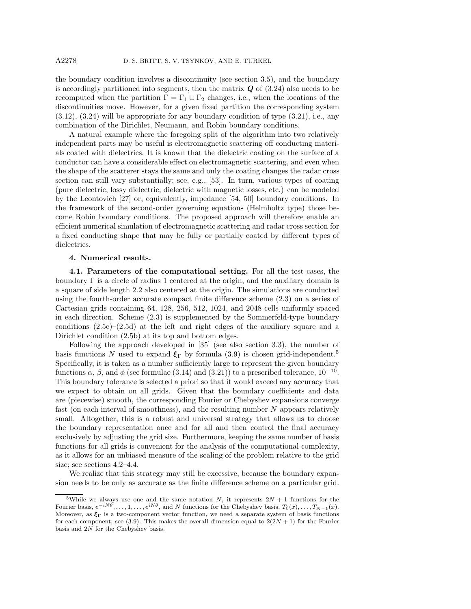the boundary condition involves a discontinuity (see section 3.5), and the boundary is accordingly partitioned into segments, then the matrix *Q* of (3.24) also needs to be recomputed when the partition  $\Gamma = \Gamma_1 \cup \Gamma_2$  changes, i.e., when the locations of the discontinuities move. However, for a given fixed partition the corresponding system (3.12), (3.24) will be appropriate for any boundary condition of type (3.21), i.e., any combination of the Dirichlet, Neumann, and Robin boundary conditions.

A natural example where the foregoing split of the algorithm into two relatively independent parts may be useful is electromagnetic scattering off conducting materials coated with dielectrics. It is known that the dielectric coating on the surface of a conductor can have a considerable effect on electromagnetic scattering, and even when the shape of the scatterer stays the same and only the coating changes the radar cross section can still vary substantially; see, e.g., [53]. In turn, various types of coating (pure dielectric, lossy dielectric, dielectric with magnetic losses, etc.) can be modeled by the Leontovich [27] or, equivalently, impedance [54, 50] boundary conditions. In the framework of the second-order governing equations (Helmholtz type) those become Robin boundary conditions. The proposed approach will therefore enable an efficient numerical simulation of electromagnetic scattering and radar cross section for a fixed conducting shape that may be fully or partially coated by different types of dielectrics.

## **4. Numerical results.**

**4.1. Parameters of the computational setting.** For all the test cases, the boundary Γ is a circle of radius 1 centered at the origin, and the auxiliary domain is a square of side length 2.2 also centered at the origin. The simulations are conducted using the fourth-order accurate compact finite difference scheme (2.3) on a series of Cartesian grids containing 64, 128, 256, 512, 1024, and 2048 cells uniformly spaced in each direction. Scheme (2.3) is supplemented by the Sommerfeld-type boundary conditions  $(2.5c)-(2.5d)$  at the left and right edges of the auxiliary square and a Dirichlet condition (2.5b) at its top and bottom edges.

Following the approach developed in [35] (see also section 3.3), the number of basis functions N used to expand  $\xi_{\Gamma}$  by formula (3.9) is chosen grid-independent.<sup>5</sup> Specifically, it is taken as a number sufficiently large to represent the given boundary functions  $\alpha$ ,  $\beta$ , and  $\phi$  (see formulae (3.14) and (3.21)) to a prescribed tolerance, 10<sup>-10</sup>. This boundary tolerance is selected a priori so that it would exceed any accuracy that we expect to obtain on all grids. Given that the boundary coefficients and data are (piecewise) smooth, the corresponding Fourier or Chebyshev expansions converge fast (on each interval of smoothness), and the resulting number N appears relatively small. Altogether, this is a robust and universal strategy that allows us to choose the boundary representation once and for all and then control the final accuracy exclusively by adjusting the grid size. Furthermore, keeping the same number of basis functions for all grids is convenient for the analysis of the computational complexity, as it allows for an unbiased measure of the scaling of the problem relative to the grid size; see sections 4.2–4.4.

We realize that this strategy may still be excessive, because the boundary expansion needs to be only as accurate as the finite difference scheme on a particular grid.

<sup>&</sup>lt;sup>5</sup>While we always use one and the same notation N, it represents  $2N + 1$  functions for the Fourier basis,  $e^{-iN\theta}$ ,..., 1,..., $e^{iN\theta}$ , and N functions for the Chebyshev basis,  $T_0(x),...,T_{N-1}(x)$ . Moreover, as  $\xi_{\Gamma}$  is a two-component vector function, we need a separate system of basis functions for each component; see (3.9). This makes the overall dimension equal to  $2(2N + 1)$  for the Fourier basis and 2N for the Chebyshev basis.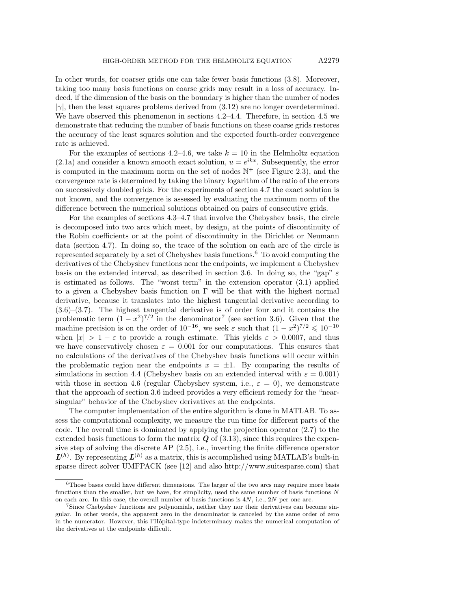In other words, for coarser grids one can take fewer basis functions (3.8). Moreover, taking too many basis functions on coarse grids may result in a loss of accuracy. Indeed, if the dimension of the basis on the boundary is higher than the number of nodes  $|\gamma|$ , then the least squares problems derived from (3.12) are no longer overdetermined. We have observed this phenomenon in sections 4.2–4.4. Therefore, in section 4.5 we demonstrate that reducing the number of basis functions on these coarse grids restores the accuracy of the least squares solution and the expected fourth-order convergence rate is achieved.

For the examples of sections 4.2–4.6, we take  $k = 10$  in the Helmholtz equation  $(2.1a)$  and consider a known smooth exact solution,  $u = e^{ikx}$ . Subsequently, the error is computed in the maximum norm on the set of nodes  $\mathbb{N}^+$  (see Figure 2.3), and the convergence rate is determined by taking the binary logarithm of the ratio of the errors on successively doubled grids. For the experiments of section 4.7 the exact solution is not known, and the convergence is assessed by evaluating the maximum norm of the difference between the numerical solutions obtained on pairs of consecutive grids.

For the examples of sections 4.3–4.7 that involve the Chebyshev basis, the circle is decomposed into two arcs which meet, by design, at the points of discontinuity of the Robin coefficients or at the point of discontinuity in the Dirichlet or Neumann data (section 4.7). In doing so, the trace of the solution on each arc of the circle is represented separately by a set of Chebyshev basis functions.<sup>6</sup> To avoid computing the derivatives of the Chebyshev functions near the endpoints, we implement a Chebyshev basis on the extended interval, as described in section 3.6. In doing so, the "gap"  $\varepsilon$ is estimated as follows. The "worst term" in the extension operator (3.1) applied to a given a Chebyshev basis function on  $\Gamma$  will be that with the highest normal derivative, because it translates into the highest tangential derivative according to  $(3.6)$ – $(3.7)$ . The highest tangential derivative is of order four and it contains the problematic term  $(1 - x^2)^{7/2}$  in the denominator<sup>7</sup> (see section 3.6). Given that the machine precision is on the order of  $10^{-16}$ , we seek  $\varepsilon$  such that  $(1 - x^2)^{7/2} \leq 10^{-10}$ when  $|x| > 1 - \varepsilon$  to provide a rough estimate. This yields  $\varepsilon > 0.0007$ , and thus we have conservatively chosen  $\varepsilon = 0.001$  for our computations. This ensures that no calculations of the derivatives of the Chebyshev basis functions will occur within the problematic region near the endpoints  $x = \pm 1$ . By comparing the results of simulations in section 4.4 (Chebyshev basis on an extended interval with  $\varepsilon = 0.001$ ) with those in section 4.6 (regular Chebyshev system, i.e.,  $\varepsilon = 0$ ), we demonstrate that the approach of section 3.6 indeed provides a very efficient remedy for the "nearsingular" behavior of the Chebyshev derivatives at the endpoints.

The computer implementation of the entire algorithm is done in MATLAB. To assess the computational complexity, we measure the run time for different parts of the code. The overall time is dominated by applying the projection operator (2.7) to the extended basis functions to form the matrix *Q* of (3.13), since this requires the expensive step of solving the discrete AP (2.5), i.e., inverting the finite difference operator  $L^{(h)}$ . By representing  $L^{(h)}$  as a matrix, this is accomplished using MATLAB's built-in sparse direct solver UMFPACK (see [12] and also http://www.suitesparse.com) that

<sup>6</sup>Those bases could have different dimensions. The larger of the two arcs may require more basis functions than the smaller, but we have, for simplicity, used the same number of basis functions N on each arc. In this case, the overall number of basis functions is  $4N$ , i.e.,  $2N$  per one arc.

<sup>&</sup>lt;sup>7</sup>Since Chebyshev functions are polynomials, neither they nor their derivatives can become singular. In other words, the apparent zero in the denominator is canceled by the same order of zero in the numerator. However, this l'Hôpital-type indeterminacy makes the numerical computation of the derivatives at the endpoints difficult.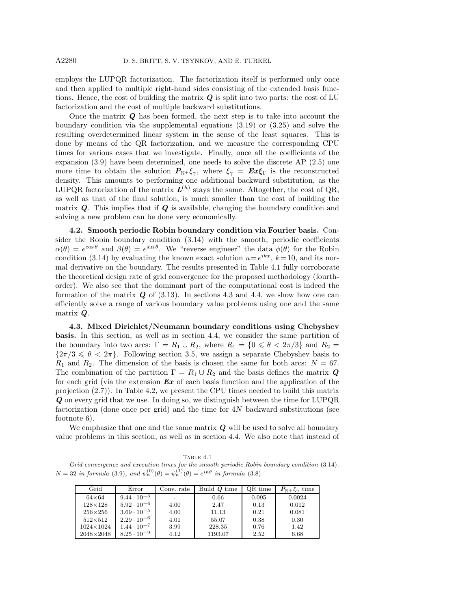employs the LUPQR factorization. The factorization itself is performed only once and then applied to multiple right-hand sides consisting of the extended basis functions. Hence, the cost of building the matrix *Q* is split into two parts: the cost of LU factorization and the cost of multiple backward substitutions.

Once the matrix *Q* has been formed, the next step is to take into account the boundary condition via the supplemental equations (3.19) or (3.25) and solve the resulting overdetermined linear system in the sense of the least squares. This is done by means of the QR factorization, and we measure the corresponding CPU times for various cases that we investigate. Finally, once all the coefficients of the expansion (3.9) have been determined, one needs to solve the discrete AP (2.5) one more time to obtain the solution  $P_{\mathbb{N}}$ + $\xi_{\gamma}$ , where  $\xi_{\gamma} = \mathbf{E} x \xi_{\Gamma}$  is the reconstructed density. This amounts to performing one additional backward substitution, as the LUPQR factorization of the matrix  $L^{(h)}$  stays the same. Altogether, the cost of QR, as well as that of the final solution, is much smaller than the cost of building the matrix *Q*. This implies that if *Q* is available, changing the boundary condition and solving a new problem can be done very economically.

**4.2. Smooth periodic Robin boundary condition via Fourier basis.** Consider the Robin boundary condition (3.14) with the smooth, periodic coefficients  $\alpha(\theta) = e^{\cos \theta}$  and  $\beta(\theta) = e^{\sin \theta}$ . We "reverse engineer" the data  $\phi(\theta)$  for the Robin condition (3.14) by evaluating the known exact solution  $u=e^{ikx}$ ,  $k=10$ , and its normal derivative on the boundary. The results presented in Table 4.1 fully corroborate the theoretical design rate of grid convergence for the proposed methodology (fourthorder). We also see that the dominant part of the computational cost is indeed the formation of the matrix  $Q$  of (3.13). In sections 4.3 and 4.4, we show how one can efficiently solve a range of various boundary value problems using one and the same matrix *Q*.

**4.3. Mixed Dirichlet/Neumann boundary conditions using Chebyshev basis.** In this section, as well as in section 4.4, we consider the same partition of the boundary into two arcs:  $\Gamma = R_1 \cup R_2$ , where  $R_1 = \{0 \le \theta < 2\pi/3\}$  and  $R_2 =$  ${2\pi/3 \leq \theta < 2\pi}$ . Following section 3.5, we assign a separate Chebyshev basis to  $R_1$  and  $R_2$ . The dimension of the basis is chosen the same for both arcs:  $N = 67$ . The combination of the partition  $\Gamma = R_1 \cup R_2$  and the basis defines the matrix *Q* for each grid (via the extension *Ex* of each basis function and the application of the projection (2.7)). In Table 4.2, we present the CPU times needed to build this matrix *Q* on every grid that we use. In doing so, we distinguish between the time for LUPQR factorization (done once per grid) and the time for 4N backward substitutions (see footnote 6).

We emphasize that one and the same matrix *Q* will be used to solve all boundary value problems in this section, as well as in section 4.4. We also note that instead of

Table 4.1 Grid convergence and execution times for the smooth periodic Robin boundary condition (3.14).  $N = 32$  in formula (3.9), and  $\psi_n^{(0)}(\theta) = \psi_n^{(1)}(\theta) = e^{in\theta}$  in formula (3.8).

| Grid               | Error                | Conv. rate | Build Q time | QR time | $P_{\text{N}}$ + $\xi_{\gamma}$ time |
|--------------------|----------------------|------------|--------------|---------|--------------------------------------|
| $64\times64$       | $9.44 \cdot 10^{-3}$ |            | 0.66         | 0.095   | 0.0024                               |
| $128\times128$     | $5.92 \cdot 10^{-4}$ | 4.00       | 2.47         | 0.13    | 0.012                                |
| $256 \times 256$   | $3.69 \cdot 10^{-5}$ | 4.00       | 11.13        | 0.21    | 0.081                                |
| $512\times512$     | $2.29 \cdot 10^{-6}$ | 4.01       | 55.07        | 0.38    | 0.30                                 |
| $1024 \times 1024$ | $1.44 \cdot 10^{-7}$ | 3.99       | 228.35       | 0.76    | 1.42                                 |
| $2048 \times 2048$ | $8.25 \cdot 10^{-9}$ | 4.12       | 1193.07      | 2.52    | 6.68                                 |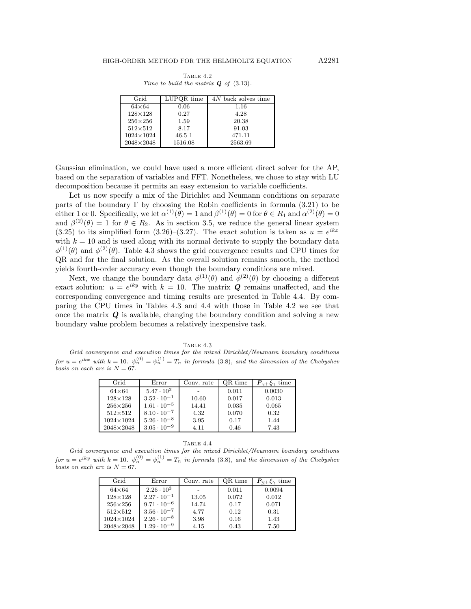| TABLE 4.2 |  |  |  |  |                                         |  |  |
|-----------|--|--|--|--|-----------------------------------------|--|--|
|           |  |  |  |  | Time to build the matrix $Q$ of (3.13). |  |  |
|           |  |  |  |  |                                         |  |  |

| Grid               | $LUPQR$ time | 4N back solves time |
|--------------------|--------------|---------------------|
| $64\times64$       | 0.06         | 1.16                |
| $128\times128$     | 0.27         | 4.28                |
| $256\times256$     | 1.59         | 20.38               |
| $512\times512$     | 8.17         | 91.03               |
| $1024 \times 1024$ | 46.5 1       | 471.11              |
| $2048 \times 2048$ | 1516.08      | 2563.69             |

Gaussian elimination, we could have used a more efficient direct solver for the AP, based on the separation of variables and FFT. Nonetheless, we chose to stay with LU decomposition because it permits an easy extension to variable coefficients.

Let us now specify a mix of the Dirichlet and Neumann conditions on separate parts of the boundary  $\Gamma$  by choosing the Robin coefficients in formula (3.21) to be either 1 or 0. Specifically, we let  $\alpha^{(1)}(\theta) = 1$  and  $\beta^{(1)}(\theta) = 0$  for  $\theta \in R_1$  and  $\alpha^{(2)}(\theta) = 0$ and  $\beta^{(2)}(\theta) = 1$  for  $\theta \in R_2$ . As in section 3.5, we reduce the general linear system (3.25) to its simplified form (3.26)–(3.27). The exact solution is taken as  $u = e^{ikx}$ with  $k = 10$  and is used along with its normal derivate to supply the boundary data  $\phi^{(1)}(\theta)$  and  $\phi^{(2)}(\theta)$ . Table 4.3 shows the grid convergence results and CPU times for QR and for the final solution. As the overall solution remains smooth, the method yields fourth-order accuracy even though the boundary conditions are mixed.

Next, we change the boundary data  $\phi^{(1)}(\theta)$  and  $\phi^{(2)}(\theta)$  by choosing a different exact solution:  $u = e^{iky}$  with  $k = 10$ . The matrix *Q* remains unaffected, and the corresponding convergence and timing results are presented in Table 4.4. By comparing the CPU times in Tables 4.3 and 4.4 with those in Table 4.2 we see that once the matrix *Q* is available, changing the boundary condition and solving a new boundary value problem becomes a relatively inexpensive task.

TABLE  $4.3$ 

Grid convergence and execution times for the mixed Dirichlet/Neumann boundary conditions for  $u = e^{ikx}$  with  $k = 10$ .  $\psi_n^{(0)} = \psi_n^{(1)} = T_n$  in formula (3.8), and the dimension of the Chebyshev basis on each arc is  $N = 67$ .

| Grid               | Error                | Conv. rate | QR time | $P_{N} \neq \varepsilon_{\gamma}$ time |
|--------------------|----------------------|------------|---------|----------------------------------------|
| $64\times64$       | $5.47 \cdot 10^{2}$  |            | 0.011   | 0.0030                                 |
| $128 \times 128$   | $3.52 \cdot 10^{-1}$ | 10.60      | 0.017   | 0.013                                  |
| $256 \times 256$   | $1.61 \cdot 10^{-5}$ | 14.41      | 0.035   | 0.065                                  |
| $512\times512$     | $8.10 \cdot 10^{-7}$ | 4.32       | 0.070   | 0.32                                   |
| $1024 \times 1024$ | $5.26 \cdot 10^{-8}$ | 3.95       | 0.17    | 1.44                                   |
| $2048 \times 2048$ | $3.05 \cdot 10^{-9}$ | 4.11       | 0.46    | 7.43                                   |

TABLE  $4.4$ 

Grid convergence and execution times for the mixed Dirichlet/Neumann boundary conditions for  $u = e^{iky}$  with  $k = 10$ .  $\psi_n^{(0)} = \psi_n^{(1)} = T_n$  in formula (3.8), and the dimension of the Chebyshev basis on each arc is  $N = 67$ .

| Grid               | Error                | Conv. rate | OR time | $P_{\text{N+}}\xi_{\gamma}$ time |
|--------------------|----------------------|------------|---------|----------------------------------|
| $64\times64$       | $2.26 \cdot 10^3$    |            | 0.011   | 0.0094                           |
| $128 \times 128$   | $2.27 \cdot 10^{-1}$ | 13.05      | 0.072   | 0.012                            |
| $256 \times 256$   | $9.71 \cdot 10^{-6}$ | 14.74      | 0.17    | 0.071                            |
| $512\times512$     | $3.56 \cdot 10^{-7}$ | 4.77       | 0.12    | 0.31                             |
| $1024 \times 1024$ | $2.26 \cdot 10^{-8}$ | 3.98       | 0.16    | 1.43                             |
| $2048 \times 2048$ | $1.29 \cdot 10^{-9}$ | 4.15       | 0.43    | 7.50                             |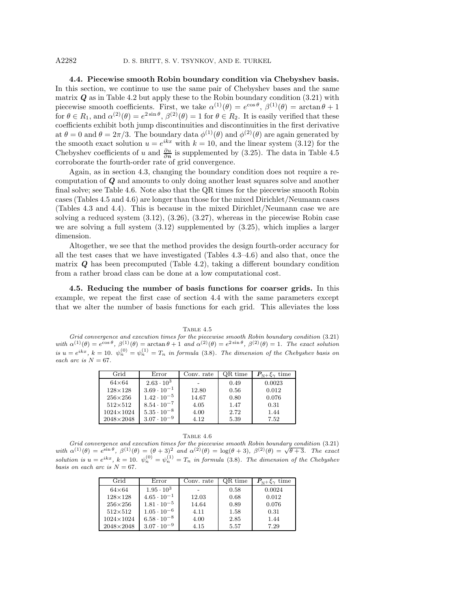**4.4. Piecewise smooth Robin boundary condition via Chebyshev basis.** In this section, we continue to use the same pair of Chebyshev bases and the same matrix  $Q$  as in Table 4.2 but apply these to the Robin boundary condition  $(3.21)$  with piecewise smooth coefficients. First, we take  $\alpha^{(1)}(\theta) = e^{\cos \theta}$ ,  $\beta^{(1)}(\theta) = \arctan \theta + 1$ for  $\theta \in R_1$ , and  $\alpha^{(2)}(\theta) = e^{2 \sin \theta}$ ,  $\beta^{(2)}(\theta) = 1$  for  $\theta \in R_2$ . It is easily verified that these coefficients exhibit both jump discontinuities and discontinuities in the first derivative at  $\theta = 0$  and  $\theta = 2\pi/3$ . The boundary data  $\phi^{(1)}(\theta)$  and  $\phi^{(2)}(\theta)$  are again generated by the smooth exact solution  $u = e^{ikx}$  with  $k = 10$ , and the linear system (3.12) for the Chebyshev coefficients of u and  $\frac{\partial u}{\partial n}$  is supplemented by (3.25). The data in Table 4.5 corroborate the fourth-order rate of grid convergence.

Again, as in section 4.3, changing the boundary condition does not require a recomputation of *Q* and amounts to only doing another least squares solve and another final solve; see Table 4.6. Note also that the QR times for the piecewise smooth Robin cases (Tables 4.5 and 4.6) are longer than those for the mixed Dirichlet/Neumann cases (Tables 4.3 and 4.4). This is because in the mixed Dirichlet/Neumann case we are solving a reduced system  $(3.12)$ ,  $(3.26)$ ,  $(3.27)$ , whereas in the piecewise Robin case we are solving a full system  $(3.12)$  supplemented by  $(3.25)$ , which implies a larger dimension.

Altogether, we see that the method provides the design fourth-order accuracy for all the test cases that we have investigated (Tables 4.3–4.6) and also that, once the matrix *Q* has been precomputed (Table 4.2), taking a different boundary condition from a rather broad class can be done at a low computational cost.

**4.5. Reducing the number of basis functions for coarser grids.** In this example, we repeat the first case of section 4.4 with the same parameters except that we alter the number of basis functions for each grid. This alleviates the loss

Table 4.5

Grid convergence and execution times for the piecewise smooth Robin boundary condition (3.21) with  $\alpha^{(1)}(\theta) = e^{\cos \theta}$ ,  $\beta^{(1)}(\theta) = \arctan \theta + 1$  and  $\alpha^{(2)}(\theta) = e^{2 \sin \theta}$ ,  $\beta^{(2)}(\theta) = 1$ . The exact solution is  $u = e^{ikx}$ ,  $k = 10$ .  $\psi_n^{(0)} = \psi_n^{(1)} = T_n$  in formula (3.8). The dimension of the Chebyshev basis on each arc is  $N = 67$ .

| Grid               | Error                | Conv. rate | OR time | time   |
|--------------------|----------------------|------------|---------|--------|
| $64\times64$       | $2.63 \cdot 10^3$    |            | 0.49    | 0.0023 |
| $128 \times 128$   | $3.69 \cdot 10^{-1}$ | 12.80      | 0.56    | 0.012  |
| $256 \times 256$   | $1.42 \cdot 10^{-5}$ | 14.67      | 0.80    | 0.076  |
| $512\times512$     | $8.54 \cdot 10^{-7}$ | 4.05       | 1.47    | 0.31   |
| $1024 \times 1024$ | $5.35 \cdot 10^{-8}$ | 4.00       | 2.72    | 1.44   |
| $2048 \times 2048$ | $3.07 \cdot 10^{-9}$ | 4.12       | 5.39    | 7.52   |
|                    |                      |            |         |        |

| <b>LABLE</b> |
|--------------|
|--------------|

Grid convergence and execution times for the piecewise smooth Robin boundary condition (3.21)<br>with  $\alpha^{(1)}(\theta) = e^{\sin \theta}$ ,  $\beta^{(1)}(\theta) = (\theta + 3)^2$  and  $\alpha^{(2)}(\theta) = \log(\theta + 3)$ ,  $\beta^{(2)}(\theta) = \sqrt{\theta + 3}$ . The exact solution is  $u = e^{ikx}$ ,  $k = 10$ .  $\psi_n^{(0)} = \psi_n^{(1)} = T_n$  in formula (3.8). The dimension of the Chebyshev basis on each arc is  $N = 67$ .

| Grid               | Error                | Conv. rate | $\rm OR$ time | $P_{\text{N+}}\xi_{\gamma}$ time |
|--------------------|----------------------|------------|---------------|----------------------------------|
| $64\times64$       | $1.95 \cdot 10^3$    |            | 0.58          | 0.0024                           |
| $128 \times 128$   | $4.65 \cdot 10^{-1}$ | 12.03      | 0.68          | 0.012                            |
| $256\times256$     | $1.81 \cdot 10^{-5}$ | 14.64      | 0.89          | 0.076                            |
| $512\times512$     | $1.05 \cdot 10^{-6}$ | 4.11       | 1.58          | 0.31                             |
| $1024 \times 1024$ | $6.58 \cdot 10^{-8}$ | 4.00       | 2.85          | 1.44                             |
| $2048 \times 2048$ | $3.07 \cdot 10^{-9}$ | 4.15       | 5.57          | 7.29                             |
|                    |                      |            |               |                                  |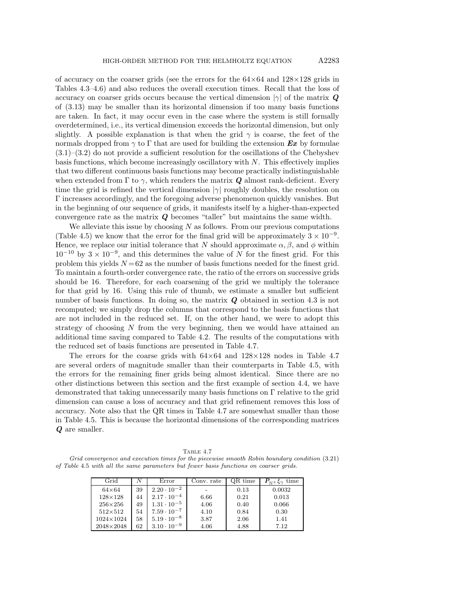of accuracy on the coarser grids (see the errors for the  $64\times64$  and  $128\times128$  grids in Tables 4.3–4.6) and also reduces the overall execution times. Recall that the loss of accuracy on coarser grids occurs because the vertical dimension |γ| of the matrix *Q* of (3.13) may be smaller than its horizontal dimension if too many basis functions are taken. In fact, it may occur even in the case where the system is still formally overdetermined, i.e., its vertical dimension exceeds the horizontal dimension, but only slightly. A possible explanation is that when the grid  $\gamma$  is coarse, the feet of the normals dropped from  $\gamma$  to  $\Gamma$  that are used for building the extension **Ex** by formulae  $(3.1)$ – $(3.2)$  do not provide a sufficient resolution for the oscillations of the Chebyshev basis functions, which become increasingly oscillatory with  $N$ . This effectively implies that two different continuous basis functions may become practically indistinguishable when extended from  $\Gamma$  to  $\gamma$ , which renders the matrix *Q* almost rank-deficient. Every time the grid is refined the vertical dimension  $|\gamma|$  roughly doubles, the resolution on Γ increases accordingly, and the foregoing adverse phenomenon quickly vanishes. But in the beginning of our sequence of grids, it manifests itself by a higher-than-expected convergence rate as the matrix *Q* becomes "taller" but maintains the same width.

We alleviate this issue by choosing  $N$  as follows. From our previous computations (Table 4.5) we know that the error for the final grid will be approximately  $3 \times 10^{-9}$ . Hence, we replace our initial tolerance that N should approximate  $\alpha, \beta$ , and  $\phi$  within  $10^{-10}$  by  $3 \times 10^{-9}$ , and this determines the value of N for the finest grid. For this problem this yields  $N = 62$  as the number of basis functions needed for the finest grid. To maintain a fourth-order convergence rate, the ratio of the errors on successive grids should be 16. Therefore, for each coarsening of the grid we multiply the tolerance for that grid by 16. Using this rule of thumb, we estimate a smaller but sufficient number of basis functions. In doing so, the matrix *Q* obtained in section 4.3 is not recomputed; we simply drop the columns that correspond to the basis functions that are not included in the reduced set. If, on the other hand, we were to adopt this strategy of choosing  $N$  from the very beginning, then we would have attained an additional time saving compared to Table 4.2. The results of the computations with the reduced set of basis functions are presented in Table 4.7.

The errors for the coarse grids with  $64\times64$  and  $128\times128$  nodes in Table 4.7 are several orders of magnitude smaller than their counterparts in Table 4.5, with the errors for the remaining finer grids being almost identical. Since there are no other distinctions between this section and the first example of section 4.4, we have demonstrated that taking unnecessarily many basis functions on Γ relative to the grid dimension can cause a loss of accuracy and that grid refinement removes this loss of accuracy. Note also that the QR times in Table 4.7 are somewhat smaller than those in Table 4.5. This is because the horizontal dimensions of the corresponding matrices *Q* are smaller.

TABLE 4.7 Grid convergence and execution times for the piecewise smooth Robin boundary condition  $(3.21)$ of Table 4.5 with all the same parameters but fewer basis functions on coarser grids.

| Grid               |    | Error                | Conv. rate | OR time | $P_{\mathbb{N}^+}\xi_{\gamma}$ time |
|--------------------|----|----------------------|------------|---------|-------------------------------------|
| $64\times64$       | 39 | $2.20 \cdot 10^{-2}$ |            | 0.13    | 0.0032                              |
| $128 \times 128$   | 44 | $2.17 \cdot 10^{-4}$ | 6.66       | 0.21    | 0.013                               |
| $256 \times 256$   | 49 | $1.31 \cdot 10^{-5}$ | 4.06       | 0.40    | 0.066                               |
| $512\times512$     | 54 | $7.59 \cdot 10^{-7}$ | 4.10       | 0.84    | 0.30                                |
| $1024 \times 1024$ | 58 | $5.19 \cdot 10^{-8}$ | 3.87       | 2.06    | 1.41                                |
| $2048 \times 2048$ | 62 | $3.10 \cdot 10^{-9}$ | 4.06       | 4.88    | 7.12                                |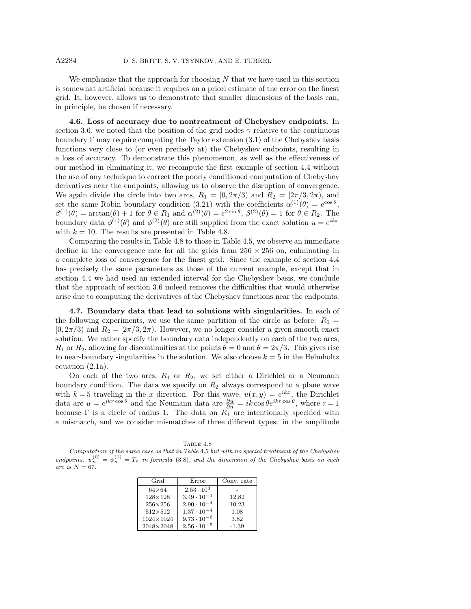We emphasize that the approach for choosing  $N$  that we have used in this section is somewhat artificial because it requires an a priori estimate of the error on the finest grid. It, however, allows us to demonstrate that smaller dimensions of the basis can, in principle, be chosen if necessary.

**4.6. Loss of accuracy due to nontreatment of Chebyshev endpoints.** In section 3.6, we noted that the position of the grid nodes  $\gamma$  relative to the continuous boundary Γ may require computing the Taylor extension (3.1) of the Chebyshev basis functions very close to (or even precisely at) the Chebyshev endpoints, resulting in a loss of accuracy. To demonstrate this phenomenon, as well as the effectiveness of our method in eliminating it, we recompute the first example of section 4.4 without the use of any technique to correct the poorly conditioned computation of Chebyshev derivatives near the endpoints, allowing us to observe the disruption of convergence. We again divide the circle into two arcs,  $R_1 = [0, 2\pi/3]$  and  $R_2 = [2\pi/3, 2\pi]$ , and set the same Robin boundary condition (3.21) with the coefficients  $\alpha^{(1)}(\theta) = e^{\cos \theta}$ ,  $\beta^{(1)}(\theta) = \arctan(\theta) + 1$  for  $\theta \in R_1$  and  $\alpha^{(2)}(\theta) = e^{2\sin \theta}$ ,  $\beta^{(2)}(\theta) = 1$  for  $\theta \in R_2$ . The boundary data  $\phi^{(1)}(\theta)$  and  $\phi^{(2)}(\theta)$  are still supplied from the exact solution  $u = e^{ikx}$ with  $k = 10$ . The results are presented in Table 4.8.

Comparing the results in Table 4.8 to those in Table 4.5, we observe an immediate decline in the convergence rate for all the grids from  $256 \times 256$  on, culminating in a complete loss of convergence for the finest grid. Since the example of section 4.4 has precisely the same parameters as those of the current example, except that in section 4.4 we had used an extended interval for the Chebyshev basis, we conclude that the approach of section 3.6 indeed removes the difficulties that would otherwise arise due to computing the derivatives of the Chebyshev functions near the endpoints.

**4.7. Boundary data that lead to solutions with singularities.** In each of the following experiments, we use the same partition of the circle as before:  $R_1 =$  $[0, 2\pi/3)$  and  $R_2 = [2\pi/3, 2\pi)$ . However, we no longer consider a given smooth exact solution. We rather specify the boundary data independently on each of the two arcs,  $R_1$  or  $R_2$ , allowing for discontinuities at the points  $\theta = 0$  and  $\theta = 2\pi/3$ . This gives rise to near-boundary singularities in the solution. We also choose  $k = 5$  in the Helmholtz equation (2.1a).

On each of the two arcs,  $R_1$  or  $R_2$ , we set either a Dirichlet or a Neumann boundary condition. The data we specify on  $R_2$  always correspond to a plane wave with  $k = 5$  traveling in the x direction. For this wave,  $u(x, y) = e^{ikx}$ , the Dirichlet data are  $u = e^{ikr \cos \theta}$  and the Neumann data are  $\frac{\partial u}{\partial n} = ik \cos \theta e^{ikr \cos \theta}$ , where  $r = 1$ because  $\Gamma$  is a circle of radius 1. The data on  $R_1$  are intentionally specified with a mismatch, and we consider mismatches of three different types: in the amplitude

| Table 4.8 |  |
|-----------|--|
|           |  |

Computation of the same case as that in Table 4.5 but with no special treatment of the Chebyshev endpoints.  $\psi_n^{(0)} = \psi_n^{(1)} = T_n$  in formula (3.8), and the dimension of the Chebyshev basis on each arc is  $N = 67$ arc is  $N = 67$ .

| Grid               | Error                | Conv. rate |
|--------------------|----------------------|------------|
| $64\times 64$      | $2.53 \cdot 10^3$    |            |
| $128 \times 128$   | $3.49 \cdot 10^{-1}$ | 12.82      |
| $256 \times 256$   | $2.90 \cdot 10^{-4}$ | 10.23      |
| $512\times512$     | $1.37 \cdot 10^{-4}$ | 1.08       |
| $1024 \times 1024$ | $9.73 \cdot 10^{-6}$ | 3.82       |
| $2048 \times 2048$ | $2.56 \cdot 10^{-5}$ | $-1.39$    |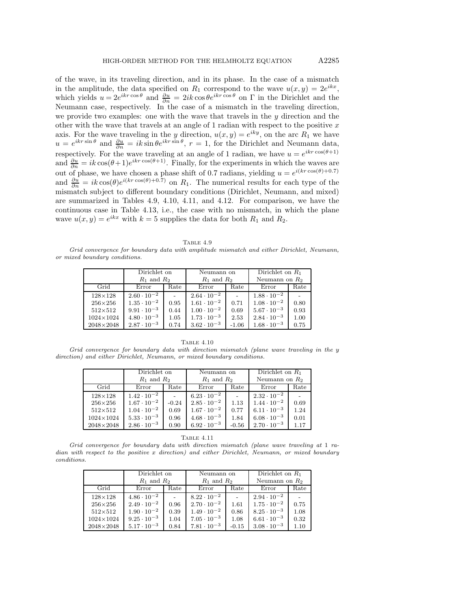of the wave, in its traveling direction, and in its phase. In the case of a mismatch in the amplitude, the data specified on  $R_1$  correspond to the wave  $u(x, y)=2e^{ikx}$ , which yields  $u = 2e^{ikr\cos\theta}$  and  $\frac{\partial u}{\partial n} = 2ik\cos\theta e^{ikr\cos\theta}$  on  $\Gamma$  in the Dirichlet and the Neumann case, respectively. In the case of a mismatch in the traveling direction, we provide two examples: one with the wave that travels in the  $y$  direction and the other with the wave that travels at an angle of 1 radian with respect to the positive  $x$ axis. For the wave traveling in the y direction,  $u(x, y) = e^{iky}$ , on the arc  $R_1$  we have  $u = e^{ikr\sin\theta}$  and  $\frac{\partial u}{\partial n} = ik\sin\theta e^{ikr\sin\theta}$ ,  $r = 1$ , for the Dirichlet and Neumann data, respectively. For the wave traveling at an angle of 1 radian, we have  $u = e^{ikr \cos(\theta+1)}$ and  $\frac{\partial u}{\partial n} = ik \cos(\theta+1)e^{ikr \cos(\theta+1)}$ . Finally, for the experiments in which the waves are out of phase, we have chosen a phase shift of 0.7 radians, yielding  $u = e^{i(kr\cos(\theta)+0.7)}$ and  $\frac{\partial u}{\partial n} = ik \cos(\theta) e^{i(kr \cos(\theta) + 0.7)}$  on  $R_1$ . The numerical results for each type of the mismatch subject to different boundary conditions (Dirichlet, Neumann, and mixed) are summarized in Tables 4.9, 4.10, 4.11, and 4.12. For comparison, we have the continuous case in Table 4.13, i.e., the case with no mismatch, in which the plane wave  $u(x, y) = e^{ikx}$  with  $k = 5$  supplies the data for both  $R_1$  and  $R_2$ .

TABLE 4.9 Grid convergence for boundary data with amplitude mismatch and either Dirichlet, Neumann, or mixed boundary conditions.

|                    | Dirichlet on         |      | Neumann on           |         | Dirichlet on $R_1$   |      |
|--------------------|----------------------|------|----------------------|---------|----------------------|------|
|                    | $R_1$ and $R_2$      |      | $R_1$ and $R_2$      |         | Neumann on $R_2$     |      |
| Grid               | Error                | Rate | Error                | Rate    | Error                | Rate |
| $128\times128$     | $2.60 \cdot 10^{-2}$ |      | $2.64 \cdot 10^{-2}$ |         | $1.88 \cdot 10^{-2}$ |      |
| $256\times256$     | $1.35 \cdot 10^{-2}$ | 0.95 | $1.61 \cdot 10^{-2}$ | 0.71    | $1.08 \cdot 10^{-2}$ | 0.80 |
| $512\times512$     | $9.91 \cdot 10^{-3}$ | 0.44 | $1.00 \cdot 10^{-2}$ | 0.69    | $5.67 \cdot 10^{-3}$ | 0.93 |
| $1024 \times 1024$ | $4.80 \cdot 10^{-3}$ | 1.05 | $1.73 \cdot 10^{-3}$ | 2.53    | $2.84 \cdot 10^{-3}$ | 1.00 |
| $2048 \times 2048$ | $2.87 \cdot 10^{-3}$ | 0.74 | $3.62 \cdot 10^{-3}$ | $-1.06$ | $1.68 \cdot 10^{-3}$ | 0.75 |
|                    |                      |      |                      |         |                      |      |

### TABLE  $4.10$

Grid convergence for boundary data with direction mismatch (plane wave traveling in the y direction) and either Dirichlet, Neumann, or mixed boundary conditions.

|                    | Dirichlet on         |         | Neumann on           |         | Dirichlet on $R_1$   |      |
|--------------------|----------------------|---------|----------------------|---------|----------------------|------|
|                    | $R_1$ and $R_2$      |         | $R_1$ and $R_2$      |         | Neumann on $R_2$     |      |
| Grid               | Error                | Rate    | Error                | Rate    | Error                | Rate |
| $128\times128$     | $1.42 \cdot 10^{-2}$ |         | $6.23 \cdot 10^{-2}$ |         | $2.32 \cdot 10^{-2}$ |      |
| $256\times256$     | $1.67 \cdot 10^{-2}$ | $-0.24$ | $2.85 \cdot 10^{-2}$ | 1.13    | $1.44 \cdot 10^{-2}$ | 0.69 |
| $512\times512$     | $1.04 \cdot 10^{-2}$ | 0.69    | $1.67 \cdot 10^{-2}$ | 0.77    | $6.11 \cdot 10^{-3}$ | 1.24 |
| $1024 \times 1024$ | $5.33 \cdot 10^{-3}$ | 0.96    | $4.68 \cdot 10^{-3}$ | 1.84    | $6.08 \cdot 10^{-3}$ | 0.01 |
| $2048 \times 2048$ | $2.86 \cdot 10^{-3}$ | 0.90    | $6.92 \cdot 10^{-3}$ | $-0.56$ | $2.70 \cdot 10^{-3}$ | 1.17 |
|                    |                      |         |                      |         |                      |      |

#### TABLE  $4.11$

Grid convergence for boundary data with direction mismatch (plane wave traveling at 1 radian with respect to the positive x direction) and either Dirichlet, Neumann, or mixed boundary conditions.

|                                                                                                  | Dirichlet on<br>$R_1$ and $R_2$                                                                                      |                              | Neumann on<br>$R_1$ and $R_2$                                                                                        |                                 | Dirichlet on $R_1$<br>Neumann on $R_2$                                                                               |                              |
|--------------------------------------------------------------------------------------------------|----------------------------------------------------------------------------------------------------------------------|------------------------------|----------------------------------------------------------------------------------------------------------------------|---------------------------------|----------------------------------------------------------------------------------------------------------------------|------------------------------|
| Grid                                                                                             | Error                                                                                                                | Rate                         | Error                                                                                                                | Rate                            | Error                                                                                                                | Rate                         |
| $128 \times 128$<br>$256\times256$<br>$512\times512$<br>$1024 \times 1024$<br>$2048 \times 2048$ | $4.86 \cdot 10^{-2}$<br>$2.49 \cdot 10^{-2}$<br>$1.90 \cdot 10^{-2}$<br>$9.25 \cdot 10^{-3}$<br>$5.17 \cdot 10^{-3}$ | 0.96<br>0.39<br>1.04<br>0.84 | $8.22 \cdot 10^{-2}$<br>$2.70 \cdot 10^{-2}$<br>$1.49 \cdot 10^{-2}$<br>$7.05 \cdot 10^{-3}$<br>$7.81 \cdot 10^{-3}$ | 1.61<br>0.86<br>1.08<br>$-0.15$ | $2.94 \cdot 10^{-2}$<br>$1.75 \cdot 10^{-2}$<br>$8.25 \cdot 10^{-3}$<br>$6.61 \cdot 10^{-3}$<br>$3.08 \cdot 10^{-3}$ | 0.75<br>1.08<br>0.32<br>1.10 |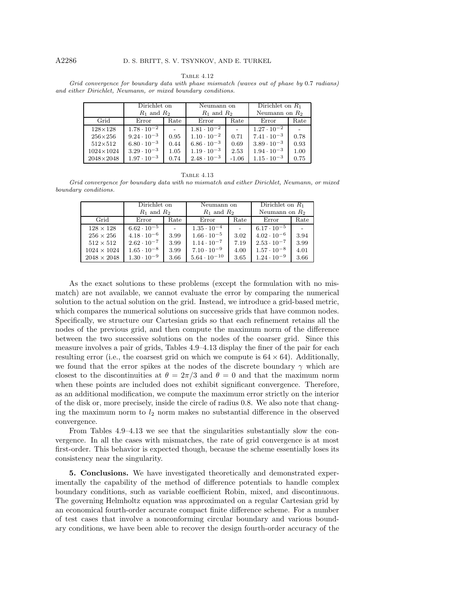TABLE  $4.12$ 

Grid convergence for boundary data with phase mismatch (waves out of phase by 0.7 radians) and either Dirichlet, Neumann, or mixed boundary conditions.

|                                                                                                | Dirichlet on<br>$R_1$ and $R_2$                                                                                      |                              | Neumann on<br>$R_1$ and $R_2$                                                                                        |                                 | Dirichlet on $R_1$<br>Neumann on $R_2$                                                                               |                              |
|------------------------------------------------------------------------------------------------|----------------------------------------------------------------------------------------------------------------------|------------------------------|----------------------------------------------------------------------------------------------------------------------|---------------------------------|----------------------------------------------------------------------------------------------------------------------|------------------------------|
| Grid                                                                                           | Error                                                                                                                | Rate                         | Error                                                                                                                | Rate                            | Error                                                                                                                | Rate                         |
| $128\times128$<br>$256\times256$<br>$512\times512$<br>$1024 \times 1024$<br>$2048 \times 2048$ | $1.78 \cdot 10^{-2}$<br>$9.24 \cdot 10^{-3}$<br>$6.80 \cdot 10^{-3}$<br>$3.29 \cdot 10^{-3}$<br>$1.97 \cdot 10^{-3}$ | 0.95<br>0.44<br>1.05<br>0.74 | $1.81 \cdot 10^{-2}$<br>$1.10 \cdot 10^{-2}$<br>$6.86 \cdot 10^{-3}$<br>$1.19 \cdot 10^{-3}$<br>$2.48 \cdot 10^{-3}$ | 0.71<br>0.69<br>2.53<br>$-1.06$ | $1.27 \cdot 10^{-2}$<br>$7.41 \cdot 10^{-3}$<br>$3.89 \cdot 10^{-3}$<br>$1.94 \cdot 10^{-3}$<br>$1.15 \cdot 10^{-3}$ | 0.78<br>0.93<br>1.00<br>0.75 |

## TABLE  $4.13$

Grid convergence for boundary data with no mismatch and either Dirichlet, Neumann, or mixed boundary conditions.

|                    | Dirichlet on         |      | Neumann on            |      | Dirichlet on $R_1$   |      |
|--------------------|----------------------|------|-----------------------|------|----------------------|------|
|                    | $R_1$ and $R_2$      |      | $R_1$ and $R_2$       |      | Neumann on $R_2$     |      |
| Grid               | Error                | Rate | Error                 | Rate | Error                | Rate |
| $128 \times 128$   | $6.62 \cdot 10^{-5}$ |      | $1.35 \cdot 10^{-4}$  |      | $6.17 \cdot 10^{-5}$ |      |
| $256 \times 256$   | $4.18 \cdot 10^{-6}$ | 3.99 | $1.66 \cdot 10^{-5}$  | 3.02 | $4.02 \cdot 10^{-6}$ | 3.94 |
| $512 \times 512$   | $2.62 \cdot 10^{-7}$ | 3.99 | $1.14 \cdot 10^{-7}$  | 7.19 | $2.53 \cdot 10^{-7}$ | 3.99 |
| $1024 \times 1024$ | $1.65 \cdot 10^{-8}$ | 3.99 | $7.10 \cdot 10^{-9}$  | 4.00 | $1.57 \cdot 10^{-8}$ | 4.01 |
| $2048 \times 2048$ | $1.30 \cdot 10^{-9}$ | 3.66 | $5.64 \cdot 10^{-10}$ | 3.65 | $1.24 \cdot 10^{-9}$ | 3.66 |

As the exact solutions to these problems (except the formulation with no mismatch) are not available, we cannot evaluate the error by comparing the numerical solution to the actual solution on the grid. Instead, we introduce a grid-based metric, which compares the numerical solutions on successive grids that have common nodes. Specifically, we structure our Cartesian grids so that each refinement retains all the nodes of the previous grid, and then compute the maximum norm of the difference between the two successive solutions on the nodes of the coarser grid. Since this measure involves a pair of grids, Tables 4.9–4.13 display the finer of the pair for each resulting error (i.e., the coarsest grid on which we compute is  $64 \times 64$ ). Additionally, we found that the error spikes at the nodes of the discrete boundary  $\gamma$  which are closest to the discontinuities at  $\theta = 2\pi/3$  and  $\theta = 0$  and that the maximum norm when these points are included does not exhibit significant convergence. Therefore, as an additional modification, we compute the maximum error strictly on the interior of the disk or, more precisely, inside the circle of radius 0.8. We also note that changing the maximum norm to  $l_2$  norm makes no substantial difference in the observed convergence.

From Tables 4.9–4.13 we see that the singularities substantially slow the convergence. In all the cases with mismatches, the rate of grid convergence is at most first-order. This behavior is expected though, because the scheme essentially loses its consistency near the singularity.

**5. Conclusions.** We have investigated theoretically and demonstrated experimentally the capability of the method of difference potentials to handle complex boundary conditions, such as variable coefficient Robin, mixed, and discontinuous. The governing Helmholtz equation was approximated on a regular Cartesian grid by an economical fourth-order accurate compact finite difference scheme. For a number of test cases that involve a nonconforming circular boundary and various boundary conditions, we have been able to recover the design fourth-order accuracy of the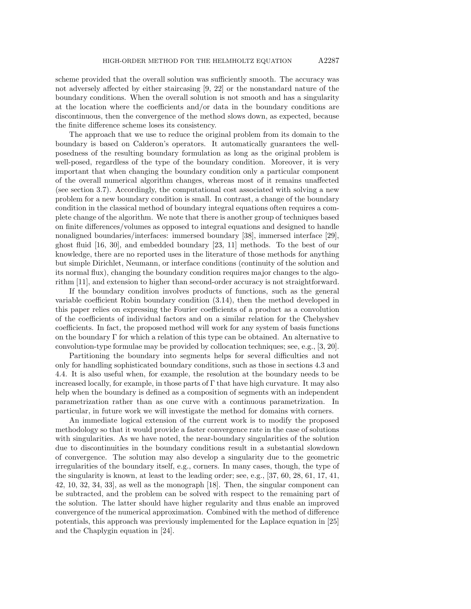scheme provided that the overall solution was sufficiently smooth. The accuracy was not adversely affected by either staircasing [9, 22] or the nonstandard nature of the boundary conditions. When the overall solution is not smooth and has a singularity at the location where the coefficients and/or data in the boundary conditions are discontinuous, then the convergence of the method slows down, as expected, because the finite difference scheme loses its consistency.

The approach that we use to reduce the original problem from its domain to the boundary is based on Calderon's operators. It automatically guarantees the wellposedness of the resulting boundary formulation as long as the original problem is well-posed, regardless of the type of the boundary condition. Moreover, it is very important that when changing the boundary condition only a particular component of the overall numerical algorithm changes, whereas most of it remains unaffected (see section 3.7). Accordingly, the computational cost associated with solving a new problem for a new boundary condition is small. In contrast, a change of the boundary condition in the classical method of boundary integral equations often requires a complete change of the algorithm. We note that there is another group of techniques based on finite differences/volumes as opposed to integral equations and designed to handle nonaligned boundaries/interfaces: immersed boundary [38], immersed interface [29], ghost fluid [16, 30], and embedded boundary [23, 11] methods. To the best of our knowledge, there are no reported uses in the literature of those methods for anything but simple Dirichlet, Neumann, or interface conditions (continuity of the solution and its normal flux), changing the boundary condition requires major changes to the algorithm [11], and extension to higher than second-order accuracy is not straightforward.

If the boundary condition involves products of functions, such as the general variable coefficient Robin boundary condition (3.14), then the method developed in this paper relies on expressing the Fourier coefficients of a product as a convolution of the coefficients of individual factors and on a similar relation for the Chebyshev coefficients. In fact, the proposed method will work for any system of basis functions on the boundary Γ for which a relation of this type can be obtained. An alternative to convolution-type formulae may be provided by collocation techniques; see, e.g., [3, 20].

Partitioning the boundary into segments helps for several difficulties and not only for handling sophisticated boundary conditions, such as those in sections 4.3 and 4.4. It is also useful when, for example, the resolution at the boundary needs to be increased locally, for example, in those parts of  $\Gamma$  that have high curvature. It may also help when the boundary is defined as a composition of segments with an independent parametrization rather than as one curve with a continuous parametrization. In particular, in future work we will investigate the method for domains with corners.

An immediate logical extension of the current work is to modify the proposed methodology so that it would provide a faster convergence rate in the case of solutions with singularities. As we have noted, the near-boundary singularities of the solution due to discontinuities in the boundary conditions result in a substantial slowdown of convergence. The solution may also develop a singularity due to the geometric irregularities of the boundary itself, e.g., corners. In many cases, though, the type of the singularity is known, at least to the leading order; see, e.g., [37, 60, 28, 61, 17, 41, 42, 10, 32, 34, 33], as well as the monograph [18]. Then, the singular component can be subtracted, and the problem can be solved with respect to the remaining part of the solution. The latter should have higher regularity and thus enable an improved convergence of the numerical approximation. Combined with the method of difference potentials, this approach was previously implemented for the Laplace equation in [25] and the Chaplygin equation in [24].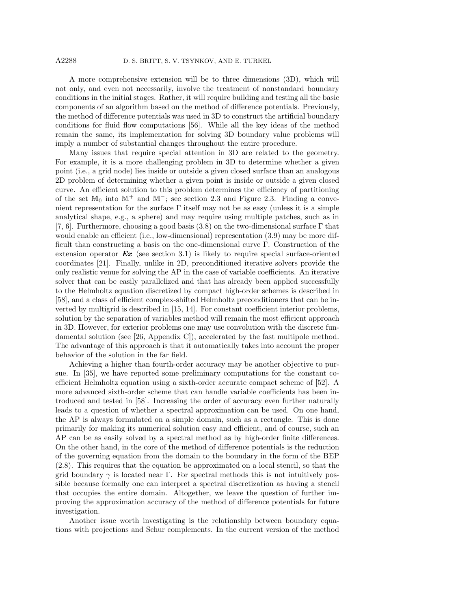A more comprehensive extension will be to three dimensions (3D), which will not only, and even not necessarily, involve the treatment of nonstandard boundary conditions in the initial stages. Rather, it will require building and testing all the basic components of an algorithm based on the method of difference potentials. Previously, the method of difference potentials was used in 3D to construct the artificial boundary conditions for fluid flow computations [56]. While all the key ideas of the method remain the same, its implementation for solving 3D boundary value problems will imply a number of substantial changes throughout the entire procedure.

Many issues that require special attention in 3D are related to the geometry. For example, it is a more challenging problem in 3D to determine whether a given point (i.e., a grid node) lies inside or outside a given closed surface than an analogous 2D problem of determining whether a given point is inside or outside a given closed curve. An efficient solution to this problem determines the efficiency of partitioning of the set  $M_0$  into  $M^+$  and  $M^-$ ; see section 2.3 and Figure 2.3. Finding a convenient representation for the surface  $\Gamma$  itself may not be as easy (unless it is a simple analytical shape, e.g., a sphere) and may require using multiple patches, such as in [7, 6]. Furthermore, choosing a good basis (3.8) on the two-dimensional surface  $\Gamma$  that would enable an efficient (i.e., low-dimensional) representation  $(3.9)$  may be more difficult than constructing a basis on the one-dimensional curve Γ. Construction of the extension operator **Ex** (see section 3.1) is likely to require special surface-oriented coordinates [21]. Finally, unlike in 2D, preconditioned iterative solvers provide the only realistic venue for solving the AP in the case of variable coefficients. An iterative solver that can be easily parallelized and that has already been applied successfully to the Helmholtz equation discretized by compact high-order schemes is described in [58], and a class of efficient complex-shifted Helmholtz preconditioners that can be inverted by multigrid is described in [15, 14]. For constant coefficient interior problems, solution by the separation of variables method will remain the most efficient approach in 3D. However, for exterior problems one may use convolution with the discrete fundamental solution (see [26, Appendix C]), accelerated by the fast multipole method. The advantage of this approach is that it automatically takes into account the proper behavior of the solution in the far field.

Achieving a higher than fourth-order accuracy may be another objective to pursue. In [35], we have reported some preliminary computations for the constant coefficient Helmholtz equation using a sixth-order accurate compact scheme of [52]. A more advanced sixth-order scheme that can handle variable coefficients has been introduced and tested in [58]. Increasing the order of accuracy even further naturally leads to a question of whether a spectral approximation can be used. On one hand, the AP is always formulated on a simple domain, such as a rectangle. This is done primarily for making its numerical solution easy and efficient, and of course, such an AP can be as easily solved by a spectral method as by high-order finite differences. On the other hand, in the core of the method of difference potentials is the reduction of the governing equation from the domain to the boundary in the form of the BEP (2.8). This requires that the equation be approximated on a local stencil, so that the grid boundary  $\gamma$  is located near Γ. For spectral methods this is not intuitively possible because formally one can interpret a spectral discretization as having a stencil that occupies the entire domain. Altogether, we leave the question of further improving the approximation accuracy of the method of difference potentials for future investigation.

Another issue worth investigating is the relationship between boundary equations with projections and Schur complements. In the current version of the method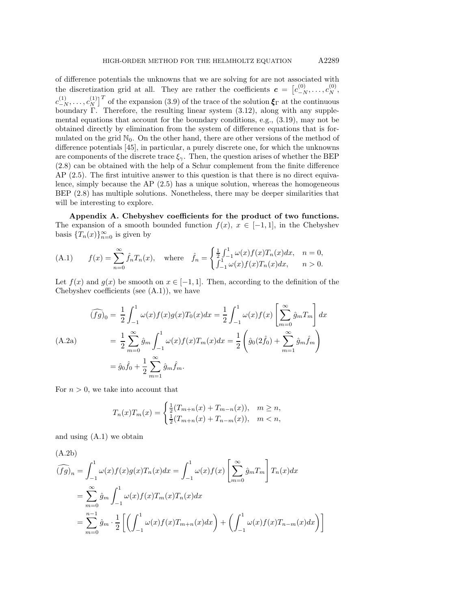of difference potentials the unknowns that we are solving for are not associated with the discretization grid at all. They are rather the coefficients  $\boldsymbol{c} = \begin{bmatrix} c_{-N}^{(0)}, \ldots, c_{N}^{(0)} \end{bmatrix}$  $c_{-N}^{(1)}, \ldots, c_N^{(1)}\big]^T$  of the expansion (3.9) of the trace of the solution  $\xi_{\Gamma}$  at the continuous boundary Γ. Therefore, the resulting linear system (3.12), along with any supplemental equations that account for the boundary conditions, e.g., (3.19), may not be obtained directly by elimination from the system of difference equations that is formulated on the grid  $\mathbb{N}_0$ . On the other hand, there are other versions of the method of difference potentials [45], in particular, a purely discrete one, for which the unknowns are components of the discrete trace  $\xi_{\gamma}$ . Then, the question arises of whether the BEP (2.8) can be obtained with the help of a Schur complement from the finite difference AP (2.5). The first intuitive answer to this question is that there is no direct equivalence, simply because the AP  $(2.5)$  has a unique solution, whereas the homogeneous BEP (2.8) has multiple solutions. Nonetheless, there may be deeper similarities that will be interesting to explore.

**Appendix A. Chebyshev coefficients for the product of two functions.** The expansion of a smooth bounded function  $f(x)$ ,  $x \in [-1,1]$ , in the Chebyshev basis  ${T_n(x)}_{n=0}^{\infty}$  is given by

(A.1) 
$$
f(x) = \sum_{n=0}^{\infty} \hat{f}_n T_n(x), \text{ where } \hat{f}_n = \begin{cases} \frac{1}{2} \int_{-1}^{1} \omega(x) f(x) T_n(x) dx, & n = 0, \\ \int_{-1}^{1} \omega(x) f(x) T_n(x) dx, & n > 0. \end{cases}
$$

Let  $f(x)$  and  $g(x)$  be smooth on  $x \in [-1,1]$ . Then, according to the definition of the Chebyshev coefficients (see (A.1)), we have

$$
\widehat{(fg)}_0 = \frac{1}{2} \int_{-1}^1 \omega(x) f(x) g(x) T_0(x) dx = \frac{1}{2} \int_{-1}^1 \omega(x) f(x) \left[ \sum_{m=0}^\infty \hat{g}_m T_m \right] dx
$$
  
\n(A.2a)  
\n
$$
= \frac{1}{2} \sum_{m=0}^\infty \hat{g}_m \int_{-1}^1 \omega(x) f(x) T_m(x) dx = \frac{1}{2} \left( \hat{g}_0(2\hat{f}_0) + \sum_{m=1}^\infty \hat{g}_m \hat{f}_m \right)
$$
  
\n
$$
= \hat{g}_0 \hat{f}_0 + \frac{1}{2} \sum_{m=1}^\infty \hat{g}_m \hat{f}_m.
$$

For  $n > 0$ , we take into account that

$$
T_n(x)T_m(x) = \begin{cases} \frac{1}{2}(T_{m+n}(x) + T_{m-n}(x)), & m \ge n, \\ \frac{1}{2}(T_{m+n}(x) + T_{n-m}(x)), & m < n, \end{cases}
$$

and using (A.1) we obtain

(A.2b)  
\n
$$
\widehat{(fg)}_n = \int_{-1}^1 \omega(x)f(x)g(x)T_n(x)dx = \int_{-1}^1 \omega(x)f(x)\left[\sum_{m=0}^\infty \widehat{g}_mT_m\right]T_n(x)dx
$$
\n
$$
= \sum_{m=0}^\infty \widehat{g}_m \int_{-1}^1 \omega(x)f(x)T_m(x)T_n(x)dx
$$
\n
$$
= \sum_{m=0}^{n-1} \widehat{g}_m \cdot \frac{1}{2}\left[\left(\int_{-1}^1 \omega(x)f(x)T_{m+n}(x)dx\right) + \left(\int_{-1}^1 \omega(x)f(x)T_{n-m}(x)dx\right)\right]
$$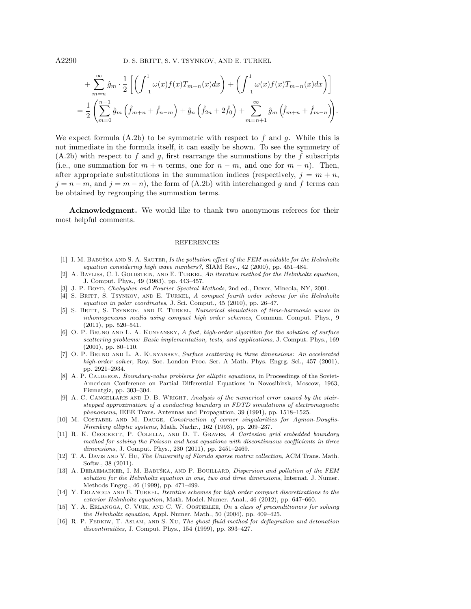A2290 D. S. BRITT, S. V. TSYNKOV, AND E. TURKEL

$$
+\sum_{m=n}^{\infty} \hat{g}_m \cdot \frac{1}{2} \left[ \left( \int_{-1}^1 \omega(x) f(x) T_{m+n}(x) dx \right) + \left( \int_{-1}^1 \omega(x) f(x) T_{m-n}(x) dx \right) \right]
$$
  
=  $\frac{1}{2} \left( \sum_{m=0}^{n-1} \hat{g}_m \left( \hat{f}_{m+n} + \hat{f}_{n-m} \right) + \hat{g}_n \left( \hat{f}_{2n} + 2 \hat{f}_0 \right) + \sum_{m=n+1}^{\infty} \hat{g}_m \left( \hat{f}_{m+n} + \hat{f}_{m-n} \right) \right).$ 

We expect formula  $(A.2b)$  to be symmetric with respect to f and q. While this is not immediate in the formula itself, it can easily be shown. To see the symmetry of  $(A.2b)$  with respect to f and g, first rearrange the summations by the f subscripts (i.e., one summation for  $m + n$  terms, one for  $n - m$ , and one for  $m - n$ ). Then, after appropriate substitutions in the summation indices (respectively,  $j = m + n$ ,  $j = n - m$ , and  $j = m - n$ , the form of (A.2b) with interchanged g and f terms can be obtained by regrouping the summation terms.

**Acknowledgment.** We would like to thank two anonymous referees for their most helpful comments.

## REFERENCES

- [1] I. M. BABUŠKA AND S. A. SAUTER, Is the pollution effect of the FEM avoidable for the Helmholtz equation considering high wave numbers?, SIAM Rev., 42 (2000), pp. 451–484.
- [2] A. BAYLISS, C. I. GOLDSTEIN, AND E. TURKEL, An iterative method for the Helmholtz equation, J. Comput. Phys., 49 (1983), pp. 443–457.
- [3] J. P. Boyd, Chebyshev and Fourier Spectral Methods, 2nd ed., Dover, Mineola, NY, 2001.
- [4] S. BRITT, S. TSYNKOV, AND E. TURKEL, A compact fourth order scheme for the Helmholtz equation in polar coordinates, J. Sci. Comput., 45 (2010), pp. 26–47.
- [5] S. BRITT, S. TSYNKOV, AND E. TURKEL, Numerical simulation of time-harmonic waves in inhomogeneous media using compact high order schemes, Commun. Comput. Phys., 9 (2011), pp. 520–541.
- [6] O. P. BRUNO AND L. A. KUNYANSKY, A fast, high-order algorithm for the solution of surface scattering problems: Basic implementation, tests, and applications, J. Comput. Phys., 169 (2001), pp. 80–110.
- [7] O. P. BRUNO AND L. A. KUNYANSKY, Surface scattering in three dimensions: An accelerated high-order solver, Roy. Soc. London Proc. Ser. A Math. Phys. Engrg. Sci., 457 (2001), pp. 2921–2934.
- [8] A. P. CALDERON, *Boundary-value problems for elliptic equations*, in Proceedings of the Soviet-American Conference on Partial Differential Equations in Novosibirsk, Moscow, 1963, Fizmatgiz, pp. 303–304.
- [9] A. C. CANGELLARIS AND D. B. WRIGHT, Analysis of the numerical error caused by the stairstepped approximation of a conducting boundary in FDTD simulations of electromagnetic phenomena, IEEE Trans. Antennas and Propagation, 39 (1991), pp. 1518–1525.
- [10] M. COSTABEL AND M. DAUGE, Construction of corner singularities for Agmon-Douglis-Nirenberg elliptic systems, Math. Nachr., 162 (1993), pp. 209–237.
- [11] R. K. CROCKETT, P. COLELLA, AND D. T. GRAVES, A Cartesian grid embedded boundary method for solving the Poisson and heat equations with discontinuous coefficients in three dimensions, J. Comput. Phys., 230 (2011), pp. 2451–2469.
- [12] T. A. Davis and Y. Hu, The University of Florida sparse matrix collection, ACM Trans. Math. Softw., 38 (2011).
- [13] A. DERAEMAEKER, I. M. BABUŠKA, AND P. BOUILLARD, Dispersion and pollution of the FEM solution for the Helmholtz equation in one, two and three dimensions, Internat. J. Numer. Methods Engrg., 46 (1999), pp. 471–499.
- [14] Y. ERLANGGA AND E. TURKEL, Iterative schemes for high order compact discretizations to the exterior Helmholtz equation, Math. Model. Numer. Anal., 46 (2012), pp. 647–660.
- [15] Y. A. ERLANGGA, C. VUIK, AND C. W. OOSTERLEE, On a class of preconditioners for solving the Helmholtz equation, Appl. Numer. Math., 50 (2004), pp. 409–425.
- [16] R. P. Fedkiw, T. Aslam, and S. Xu, The ghost fluid method for deflagration and detonation discontinuities, J. Comput. Phys., 154 (1999), pp. 393–427.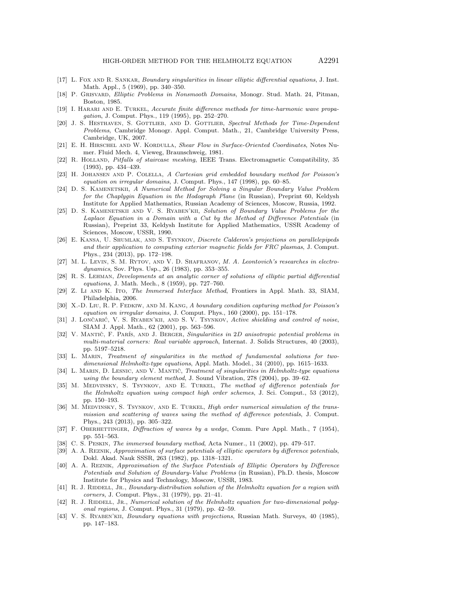- [17] L. Fox and R. Sankar, Boundary singularities in linear elliptic differential equations, J. Inst. Math. Appl., 5 (1969), pp. 340–350.
- [18] P. Grisvard, Elliptic Problems in Nonsmooth Domains, Monogr. Stud. Math. 24, Pitman, Boston, 1985.
- [19] I. Harari and E. Turkel, Accurate finite difference methods for time-harmonic wave propagation, J. Comput. Phys., 119 (1995), pp. 252–270.
- [20] J. S. HESTHAVEN, S. GOTTLIEB, AND D. GOTTLIEB, Spectral Methods for Time-Dependent Problems, Cambridge Monogr. Appl. Comput. Math., 21, Cambridge University Press, Cambridge, UK, 2007.
- [21] E. H. HIRSCHEL AND W. KORDULLA, Shear Flow in Surface-Oriented Coordinates, Notes Numer. Fluid Mech. 4, Vieweg, Braunschweig, 1981.
- [22] R. HOLLAND, Pitfalls of staircase meshing, IEEE Trans. Electromagnetic Compatibility, 35 (1993), pp. 434–439.
- [23] H. Johansen and P. Colella, A Cartesian grid embedded boundary method for Poisson's equation on irregular domains, J. Comput. Phys., 147 (1998), pp. 60–85.
- [24] D. S. KAMENETSKII, A Numerical Method for Solving a Singular Boundary Value Problem for the Chaplygin Equation in the Hodograph Plane (in Russian), Preprint 60, Keldysh Institute for Applied Mathematics, Russian Academy of Sciences, Moscow, Russia, 1992.
- [25] D. S. KAMENETSKII AND V. S. RYABEN'KII, Solution of Boundary Value Problems for the Laplace Equation in a Domain with a Cut by the Method of Difference Potentials (in Russian), Preprint 33, Keldysh Institute for Applied Mathematics, USSR Academy of Sciences, Moscow, USSR, 1990.
- [26] E. Kansa, U. Shumlak, and S. Tsynkov, Discrete Calderon's projections on parallelepipeds and their application to computing exterior magnetic fields for FRC plasmas, J. Comput. Phys., 234 (2013), pp. 172–198.
- [27] M. L. Levin, S. M. Rytov, and V. D. Shafranov, M. A. Leontovich's researches in electrodynamics, Sov. Phys. Usp., 26 (1983), pp. 353–355.
- [28] R. S. Lehman, Developments at an analytic corner of solutions of elliptic partial differential equations, J. Math. Mech., 8 (1959), pp. 727–760.
- [29] Z. Li and K. Ito, The Immersed Interface Method, Frontiers in Appl. Math. 33, SIAM, Philadelphia, 2006.
- [30] X.-D. Liu, R. P. Fedkiw, and M. Kang, A boundary condition capturing method for Poisson's equation on irregular domains, J. Comput. Phys., 160 (2000), pp. 151–178.
- [31] J. LONČARIĆ, V. S. RYABEN'KII, AND S. V. TSYNKOV, Active shielding and control of noise, SIAM J. Appl. Math., 62 (2001), pp. 563–596.
- [32] V. MANTIČ, F. PARÍS, AND J. BERGER, Singularities in 2D anisotropic potential problems in multi-material corners: Real variable approach, Internat. J. Solids Structures, 40 (2003), pp. 5197–5218.
- [33] L. Marin, Treatment of singularities in the method of fundamental solutions for twodimensional Helmholtz-type equations, Appl. Math. Model., 34 (2010), pp. 1615–1633.
- [34] L. MARIN, D. LESNIC, AND V. MANTIČ, Treatment of singularities in Helmholtz-type equations using the boundary element method, J. Sound Vibration, 278 (2004), pp. 39–62.
- [35] M. MEDVINSKY, S. TSYNKOV, AND E. TURKEL, The method of difference potentials for the Helmholtz equation using compact high order schemes, J. Sci. Comput., 53 (2012), pp. 150–193.
- [36] M. MEDVINSKY, S. TSYNKOV, AND E. TURKEL, *High order numerical simulation of the trans*mission and scattering of waves using the method of difference potentials, J. Comput. Phys., 243 (2013), pp. 305–322.
- [37] F. OBERHETTINGER, Diffraction of waves by a wedge, Comm. Pure Appl. Math., 7 (1954), pp. 551–563.
- [38] C. S. Peskin, The immersed boundary method, Acta Numer., 11 (2002), pp. 479–517.
- [39] A. A. Reznik, Approximation of surface potentials of elliptic operators by difference potentials, Dokl. Akad. Nauk SSSR, 263 (1982), pp. 1318–1321.
- [40] A. A. Reznik, Approximation of the Surface Potentials of Elliptic Operators by Difference Potentials and Solution of Boundary-Value Problems (in Russian), Ph.D. thesis, Moscow Institute for Physics and Technology, Moscow, USSR, 1983.
- [41] R. J. RIDDELL, JR., Boundary-distribution solution of the Helmholtz equation for a region with corners, J. Comput. Phys., 31 (1979), pp. 21–41.
- [42] R. J. RIDDELL, JR., Numerical solution of the Helmholtz equation for two-dimensional polygonal regions, J. Comput. Phys., 31 (1979), pp. 42–59.
- [43] V. S. RYABEN'KII, Boundary equations with projections, Russian Math. Surveys, 40 (1985), pp. 147–183.